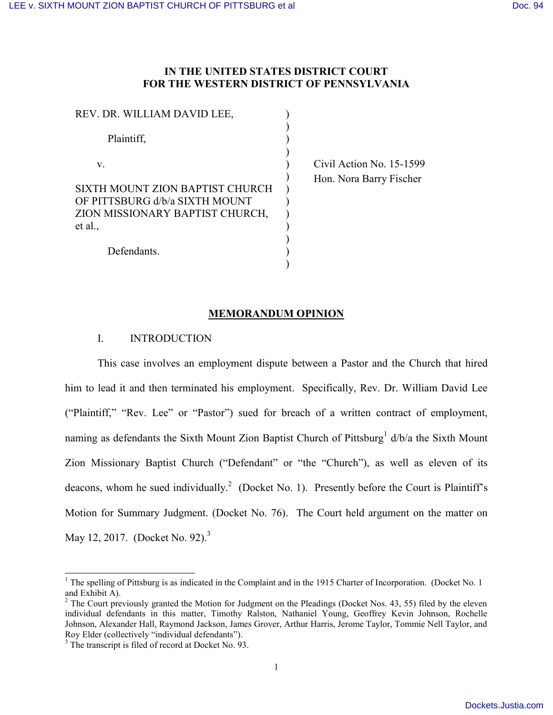### **IN THE UNITED STATES DISTRICT COURT FOR THE WESTERN DISTRICT OF PENNSYLVANIA**

| REV. DR. WILLIAM DAVID LEE,                                                                                     |  |
|-----------------------------------------------------------------------------------------------------------------|--|
| Plaintiff,                                                                                                      |  |
| V                                                                                                               |  |
| SIXTH MOUNT ZION BAPTIST CHURCH<br>OF PITTSBURG d/b/a SIXTH MOUNT<br>ZION MISSIONARY BAPTIST CHURCH,<br>et al., |  |
| Defendants.                                                                                                     |  |

 Civil Action No. 15-1599 Hon. Nora Barry Fischer

### **MEMORANDUM OPINION**

### I. INTRODUCTION

This case involves an employment dispute between a Pastor and the Church that hired him to lead it and then terminated his employment. Specifically, Rev. Dr. William David Lee ("Plaintiff," "Rev. Lee" or "Pastor") sued for breach of a written contract of employment, naming as defendants the Sixth Mount Zion Baptist Church of Pittsburg<sup>1</sup> d/b/a the Sixth Mount Zion Missionary Baptist Church ("Defendant" or "the "Church"), as well as eleven of its deacons, whom he sued individually.<sup>2</sup> (Docket No. 1). Presently before the Court is Plaintiff's Motion for Summary Judgment. (Docket No. 76). The Court held argument on the matter on May 12, 2017. (Docket No. 92).<sup>3</sup>

 $\overline{a}$ 

<sup>&</sup>lt;sup>1</sup> The spelling of Pittsburg is as indicated in the Complaint and in the 1915 Charter of Incorporation. (Docket No. 1) and Exhibit A).

 $2$  The Court previously granted the Motion for Judgment on the Pleadings (Docket Nos. 43, 55) filed by the eleven individual defendants in this matter, Timothy Ralston, Nathaniel Young, Geoffrey Kevin Johnson, Rochelle Johnson, Alexander Hall, Raymond Jackson, James Grover, Arthur Harris, Jerome Taylor, Tommie Nell Taylor, and Roy Elder (collectively "individual defendants").

<sup>&</sup>lt;sup>3</sup> The transcript is filed of record at Docket No. 93.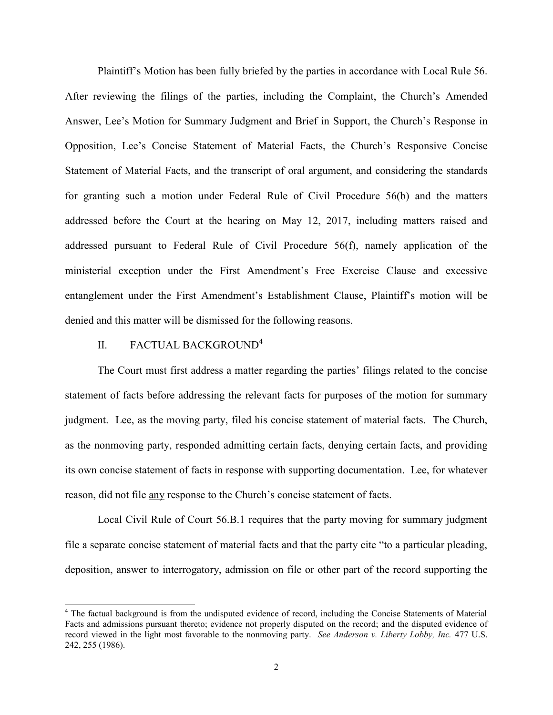Plaintiff's Motion has been fully briefed by the parties in accordance with Local Rule 56. After reviewing the filings of the parties, including the Complaint, the Church's Amended Answer, Lee's Motion for Summary Judgment and Brief in Support, the Church's Response in Opposition, Lee's Concise Statement of Material Facts, the Church's Responsive Concise Statement of Material Facts, and the transcript of oral argument, and considering the standards for granting such a motion under Federal Rule of Civil Procedure 56(b) and the matters addressed before the Court at the hearing on May 12, 2017, including matters raised and addressed pursuant to Federal Rule of Civil Procedure 56(f), namely application of the ministerial exception under the First Amendment's Free Exercise Clause and excessive entanglement under the First Amendment's Establishment Clause, Plaintiff's motion will be denied and this matter will be dismissed for the following reasons.

### II. FACTUAL BACKGROUND<sup>4</sup>

 $\overline{a}$ 

The Court must first address a matter regarding the parties' filings related to the concise statement of facts before addressing the relevant facts for purposes of the motion for summary judgment. Lee, as the moving party, filed his concise statement of material facts. The Church, as the nonmoving party, responded admitting certain facts, denying certain facts, and providing its own concise statement of facts in response with supporting documentation. Lee, for whatever reason, did not file any response to the Church's concise statement of facts.

Local Civil Rule of Court 56.B.1 requires that the party moving for summary judgment file a separate concise statement of material facts and that the party cite "to a particular pleading, deposition, answer to interrogatory, admission on file or other part of the record supporting the

<sup>&</sup>lt;sup>4</sup> The factual background is from the undisputed evidence of record, including the Concise Statements of Material Facts and admissions pursuant thereto; evidence not properly disputed on the record; and the disputed evidence of record viewed in the light most favorable to the nonmoving party. *See Anderson v. Liberty Lobby, Inc.* 477 U.S. 242, 255 (1986).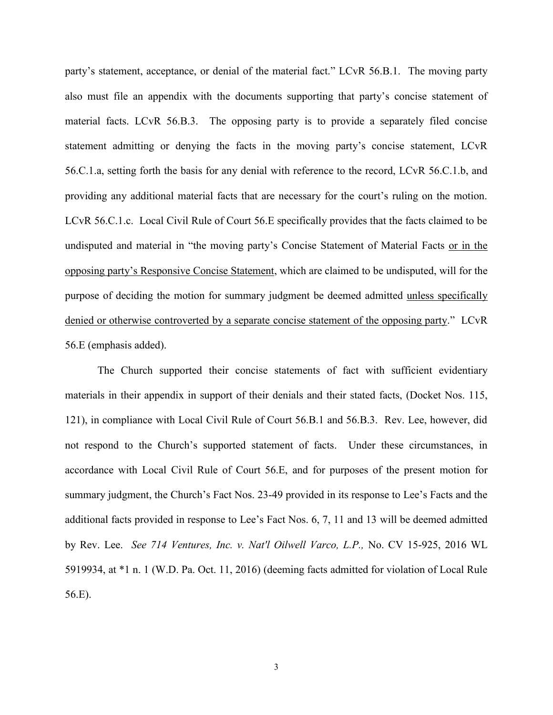party's statement, acceptance, or denial of the material fact." LCvR 56.B.1. The moving party also must file an appendix with the documents supporting that party's concise statement of material facts. LCvR 56.B.3. The opposing party is to provide a separately filed concise statement admitting or denying the facts in the moving party's concise statement, LCvR 56.C.1.a, setting forth the basis for any denial with reference to the record, LCvR 56.C.1.b, and providing any additional material facts that are necessary for the court's ruling on the motion. LCvR 56.C.1.c. Local Civil Rule of Court 56.E specifically provides that the facts claimed to be undisputed and material in "the moving party's Concise Statement of Material Facts or in the opposing party's Responsive Concise Statement, which are claimed to be undisputed, will for the purpose of deciding the motion for summary judgment be deemed admitted unless specifically denied or otherwise controverted by a separate concise statement of the opposing party." LCvR 56.E (emphasis added).

The Church supported their concise statements of fact with sufficient evidentiary materials in their appendix in support of their denials and their stated facts, (Docket Nos. 115, 121), in compliance with Local Civil Rule of Court 56.B.1 and 56.B.3. Rev. Lee, however, did not respond to the Church's supported statement of facts. Under these circumstances, in accordance with Local Civil Rule of Court 56.E, and for purposes of the present motion for summary judgment, the Church's Fact Nos. 23-49 provided in its response to Lee's Facts and the additional facts provided in response to Lee's Fact Nos. 6, 7, 11 and 13 will be deemed admitted by Rev. Lee. *See 714 Ventures, Inc. v. Nat'l Oilwell Varco, L.P.,* No. CV 15-925, 2016 WL 5919934, at \*1 n. 1 (W.D. Pa. Oct. 11, 2016) (deeming facts admitted for violation of Local Rule 56.E).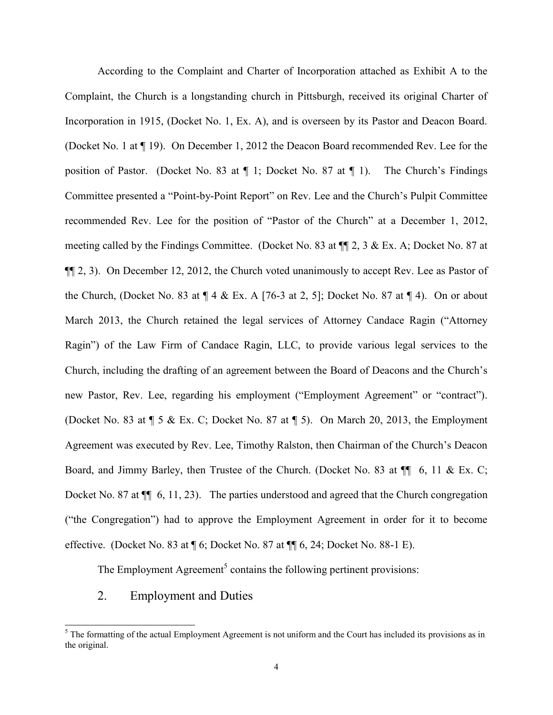According to the Complaint and Charter of Incorporation attached as Exhibit A to the Complaint, the Church is a longstanding church in Pittsburgh, received its original Charter of Incorporation in 1915, (Docket No. 1, Ex. A), and is overseen by its Pastor and Deacon Board. (Docket No. 1 at ¶ 19). On December 1, 2012 the Deacon Board recommended Rev. Lee for the position of Pastor. (Docket No. 83 at ¶ 1; Docket No. 87 at ¶ 1). The Church's Findings Committee presented a "Point-by-Point Report" on Rev. Lee and the Church's Pulpit Committee recommended Rev. Lee for the position of "Pastor of the Church" at a December 1, 2012, meeting called by the Findings Committee. (Docket No. 83 at ¶¶ 2, 3 & Ex. A; Docket No. 87 at ¶¶ 2, 3). On December 12, 2012, the Church voted unanimously to accept Rev. Lee as Pastor of the Church, (Docket No. 83 at  $\P$  4 & Ex. A [76-3 at 2, 5]; Docket No. 87 at  $\P$  4). On or about March 2013, the Church retained the legal services of Attorney Candace Ragin ("Attorney Ragin") of the Law Firm of Candace Ragin, LLC, to provide various legal services to the Church, including the drafting of an agreement between the Board of Deacons and the Church's new Pastor, Rev. Lee, regarding his employment ("Employment Agreement" or "contract"). (Docket No. 83 at ¶ 5 & Ex. C; Docket No. 87 at ¶ 5). On March 20, 2013, the Employment Agreement was executed by Rev. Lee, Timothy Ralston, then Chairman of the Church's Deacon Board, and Jimmy Barley, then Trustee of the Church. (Docket No. 83 at  $\P$  6, 11 & Ex. C; Docket No. 87 at  $\P$  6, 11, 23). The parties understood and agreed that the Church congregation ("the Congregation") had to approve the Employment Agreement in order for it to become effective. (Docket No. 83 at ¶ 6; Docket No. 87 at ¶¶ 6, 24; Docket No. 88-1 E).

The Employment Agreement<sup>5</sup> contains the following pertinent provisions:

2. Employment and Duties

 $\overline{a}$ 

 $5$  The formatting of the actual Employment Agreement is not uniform and the Court has included its provisions as in the original.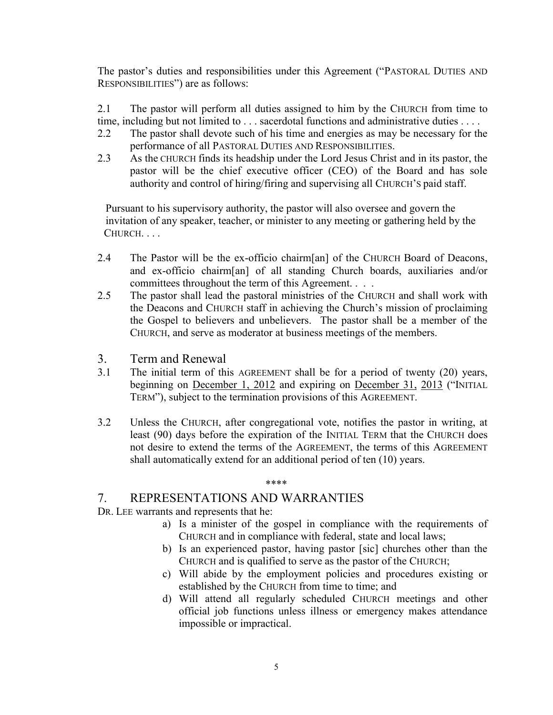The pastor's duties and responsibilities under this Agreement ("PASTORAL DUTIES AND RESPONSIBILITIES") are as follows:

2.1 The pastor will perform all duties assigned to him by the CHURCH from time to time, including but not limited to . . . sacerdotal functions and administrative duties . . . .

- 2.2 The pastor shall devote such of his time and energies as may be necessary for the performance of all PASTORAL DUTIES AND RESPONSIBILITIES.
- 2.3 As the CHURCH finds its headship under the Lord Jesus Christ and in its pastor, the pastor will be the chief executive officer (CEO) of the Board and has sole authority and control of hiring/firing and supervising all CHURCH'S paid staff.

 Pursuant to his supervisory authority, the pastor will also oversee and govern the invitation of any speaker, teacher, or minister to any meeting or gathering held by the CHURCH. . . .

- 2.4 The Pastor will be the ex-officio chairm[an] of the CHURCH Board of Deacons, and ex-officio chairm[an] of all standing Church boards, auxiliaries and/or committees throughout the term of this Agreement. . . .
- 2.5 The pastor shall lead the pastoral ministries of the CHURCH and shall work with the Deacons and CHURCH staff in achieving the Church's mission of proclaiming the Gospel to believers and unbelievers. The pastor shall be a member of the CHURCH, and serve as moderator at business meetings of the members.
- 3. Term and Renewal
- 3.1 The initial term of this AGREEMENT shall be for a period of twenty (20) years, beginning on December 1, 2012 and expiring on December 31, 2013 ("INITIAL TERM"), subject to the termination provisions of this AGREEMENT.
- 3.2 Unless the CHURCH, after congregational vote, notifies the pastor in writing, at least (90) days before the expiration of the INITIAL TERM that the CHURCH does not desire to extend the terms of the AGREEMENT, the terms of this AGREEMENT shall automatically extend for an additional period of ten (10) years.

#### \*\*\*\*

# 7. REPRESENTATIONS AND WARRANTIES

DR. LEE warrants and represents that he:

- a) Is a minister of the gospel in compliance with the requirements of CHURCH and in compliance with federal, state and local laws;
- b) Is an experienced pastor, having pastor [sic] churches other than the CHURCH and is qualified to serve as the pastor of the CHURCH;
- c) Will abide by the employment policies and procedures existing or established by the CHURCH from time to time; and
- d) Will attend all regularly scheduled CHURCH meetings and other official job functions unless illness or emergency makes attendance impossible or impractical.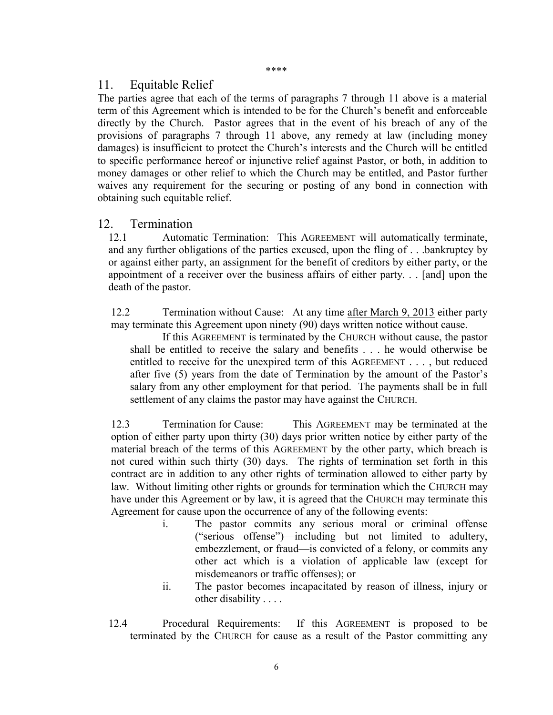#### \*\*\*\*

# 11. Equitable Relief

The parties agree that each of the terms of paragraphs 7 through 11 above is a material term of this Agreement which is intended to be for the Church's benefit and enforceable directly by the Church. Pastor agrees that in the event of his breach of any of the provisions of paragraphs 7 through 11 above, any remedy at law (including money damages) is insufficient to protect the Church's interests and the Church will be entitled to specific performance hereof or injunctive relief against Pastor, or both, in addition to money damages or other relief to which the Church may be entitled, and Pastor further waives any requirement for the securing or posting of any bond in connection with obtaining such equitable relief.

# 12. Termination

12.1 Automatic Termination: This AGREEMENT will automatically terminate, and any further obligations of the parties excused, upon the fling of . . .bankruptcy by or against either party, an assignment for the benefit of creditors by either party, or the appointment of a receiver over the business affairs of either party. . . [and] upon the death of the pastor.

12.2 Termination without Cause: At any time after March 9, 2013 either party may terminate this Agreement upon ninety (90) days written notice without cause.

If this AGREEMENT is terminated by the CHURCH without cause, the pastor shall be entitled to receive the salary and benefits . . . he would otherwise be entitled to receive for the unexpired term of this AGREEMENT . . . , but reduced after five (5) years from the date of Termination by the amount of the Pastor's salary from any other employment for that period. The payments shall be in full settlement of any claims the pastor may have against the CHURCH.

12.3 Termination for Cause: This AGREEMENT may be terminated at the option of either party upon thirty (30) days prior written notice by either party of the material breach of the terms of this AGREEMENT by the other party, which breach is not cured within such thirty (30) days. The rights of termination set forth in this contract are in addition to any other rights of termination allowed to either party by law. Without limiting other rights or grounds for termination which the CHURCH may have under this Agreement or by law, it is agreed that the CHURCH may terminate this Agreement for cause upon the occurrence of any of the following events:

- i. The pastor commits any serious moral or criminal offense ("serious offense")—including but not limited to adultery, embezzlement, or fraud—is convicted of a felony, or commits any other act which is a violation of applicable law (except for misdemeanors or traffic offenses); or
- ii. The pastor becomes incapacitated by reason of illness, injury or other disability . . . .
- 12.4 Procedural Requirements: If this AGREEMENT is proposed to be terminated by the CHURCH for cause as a result of the Pastor committing any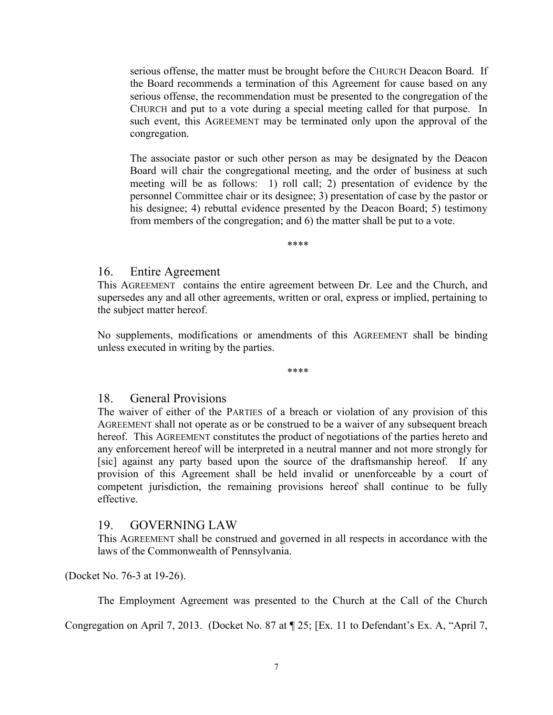serious offense, the matter must be brought before the CHURCH Deacon Board. If the Board recommends a termination of this Agreement for cause based on any serious offense, the recommendation must be presented to the congregation of the CHURCH and put to a vote during a special meeting called for that purpose. In such event, this AGREEMENT may be terminated only upon the approval of the congregation.

The associate pastor or such other person as may be designated by the Deacon Board will chair the congregational meeting, and the order of business at such meeting will be as follows: 1) roll call; 2) presentation of evidence by the personnel Committee chair or its designee; 3) presentation of case by the pastor or his designee; 4) rebuttal evidence presented by the Deacon Board; 5) testimony from members of the congregation; and 6) the matter shall be put to a vote.

\*\*\*\*

# 16. Entire Agreement

This AGREEMENT contains the entire agreement between Dr. Lee and the Church, and supersedes any and all other agreements, written or oral, express or implied, pertaining to the subject matter hereof.

No supplements, modifications or amendments of this AGREEMENT shall be binding unless executed in writing by the parties.

\*\*\*\*

# 18. General Provisions

The waiver of either of the PARTIES of a breach or violation of any provision of this AGREEMENT shall not operate as or be construed to be a waiver of any subsequent breach hereof. This AGREEMENT constitutes the product of negotiations of the parties hereto and any enforcement hereof will be interpreted in a neutral manner and not more strongly for [sic] against any party based upon the source of the draftsmanship hereof. If any provision of this Agreement shall be held invalid or unenforceable by a court of competent jurisdiction, the remaining provisions hereof shall continue to be fully effective.

# 19. GOVERNING LAW

This AGREEMENT shall be construed and governed in all respects in accordance with the laws of the Commonwealth of Pennsylvania.

(Docket No. 76-3 at 19-26).

The Employment Agreement was presented to the Church at the Call of the Church

Congregation on April 7, 2013. (Docket No. 87 at ¶ 25; [Ex. 11 to Defendant's Ex. A, "April 7,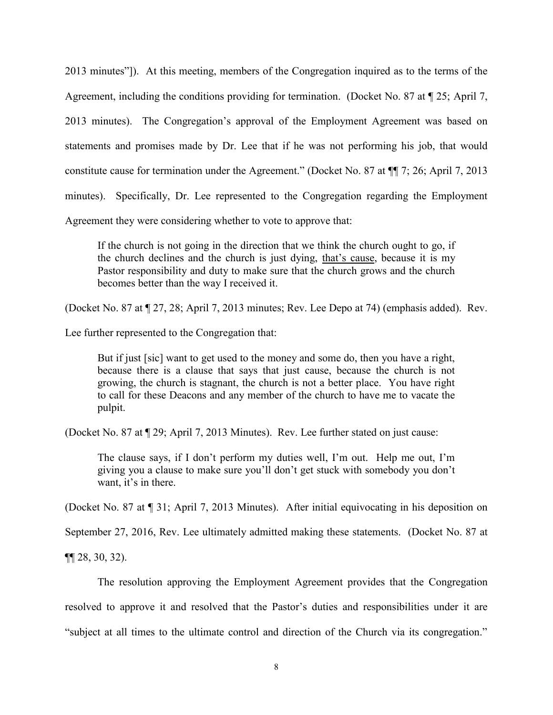2013 minutes"]). At this meeting, members of the Congregation inquired as to the terms of the Agreement, including the conditions providing for termination. (Docket No. 87 at ¶ 25; April 7, 2013 minutes). The Congregation's approval of the Employment Agreement was based on statements and promises made by Dr. Lee that if he was not performing his job, that would constitute cause for termination under the Agreement." (Docket No. 87 at ¶¶ 7; 26; April 7, 2013 minutes). Specifically, Dr. Lee represented to the Congregation regarding the Employment Agreement they were considering whether to vote to approve that:

If the church is not going in the direction that we think the church ought to go, if the church declines and the church is just dying, that's cause, because it is my Pastor responsibility and duty to make sure that the church grows and the church becomes better than the way I received it.

(Docket No. 87 at ¶ 27, 28; April 7, 2013 minutes; Rev. Lee Depo at 74) (emphasis added).Rev.

Lee further represented to the Congregation that:

But if just [sic] want to get used to the money and some do, then you have a right, because there is a clause that says that just cause, because the church is not growing, the church is stagnant, the church is not a better place. You have right to call for these Deacons and any member of the church to have me to vacate the pulpit.

(Docket No. 87 at ¶ 29; April 7, 2013 Minutes).Rev. Lee further stated on just cause:

The clause says, if I don't perform my duties well, I'm out. Help me out, I'm giving you a clause to make sure you'll don't get stuck with somebody you don't want, it's in there.

(Docket No. 87 at ¶ 31; April 7, 2013 Minutes).After initial equivocating in his deposition on

September 27, 2016, Rev. Lee ultimately admitted making these statements. (Docket No. 87 at

¶¶ 28, 30, 32).

The resolution approving the Employment Agreement provides that the Congregation resolved to approve it and resolved that the Pastor's duties and responsibilities under it are "subject at all times to the ultimate control and direction of the Church via its congregation."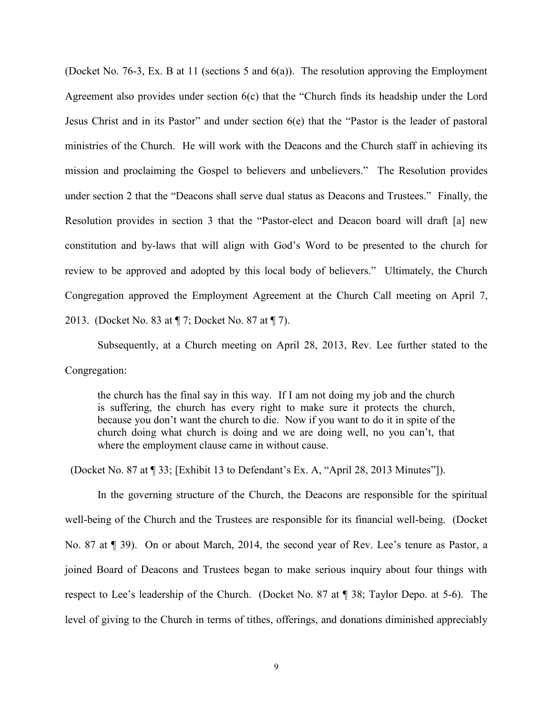(Docket No. 76-3, Ex. B at 11 (sections 5 and 6(a)). The resolution approving the Employment Agreement also provides under section 6(c) that the "Church finds its headship under the Lord Jesus Christ and in its Pastor" and under section 6(e) that the "Pastor is the leader of pastoral ministries of the Church. He will work with the Deacons and the Church staff in achieving its mission and proclaiming the Gospel to believers and unbelievers." The Resolution provides under section 2 that the "Deacons shall serve dual status as Deacons and Trustees." Finally, the Resolution provides in section 3 that the "Pastor-elect and Deacon board will draft [a] new constitution and by-laws that will align with God's Word to be presented to the church for review to be approved and adopted by this local body of believers." Ultimately, the Church Congregation approved the Employment Agreement at the Church Call meeting on April 7, 2013. (Docket No. 83 at ¶ 7; Docket No. 87 at ¶ 7).

Subsequently, at a Church meeting on April 28, 2013, Rev. Lee further stated to the Congregation:

the church has the final say in this way. If I am not doing my job and the church is suffering, the church has every right to make sure it protects the church, because you don't want the church to die. Now if you want to do it in spite of the church doing what church is doing and we are doing well, no you can't, that where the employment clause came in without cause.

(Docket No. 87 at ¶ 33; [Exhibit 13 to Defendant's Ex. A, "April 28, 2013 Minutes"]).

In the governing structure of the Church, the Deacons are responsible for the spiritual well-being of the Church and the Trustees are responsible for its financial well-being. (Docket No. 87 at ¶ 39). On or about March, 2014, the second year of Rev. Lee's tenure as Pastor, a joined Board of Deacons and Trustees began to make serious inquiry about four things with respect to Lee's leadership of the Church. (Docket No. 87 at ¶ 38; Taylor Depo. at 5-6). The level of giving to the Church in terms of tithes, offerings, and donations diminished appreciably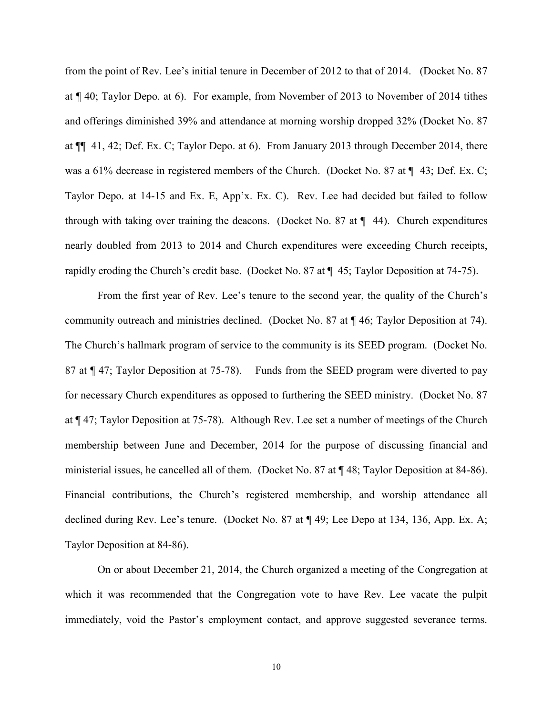from the point of Rev. Lee's initial tenure in December of 2012 to that of 2014. (Docket No. 87 at ¶ 40; Taylor Depo. at 6). For example, from November of 2013 to November of 2014 tithes and offerings diminished 39% and attendance at morning worship dropped 32% (Docket No. 87 at ¶¶ 41, 42; Def. Ex. C; Taylor Depo. at 6). From January 2013 through December 2014, there was a 61% decrease in registered members of the Church. (Docket No. 87 at  $\P$  43; Def. Ex. C; Taylor Depo. at 14-15 and Ex. E, App'x. Ex. C). Rev. Lee had decided but failed to follow through with taking over training the deacons. (Docket No. 87 at  $\P$  44). Church expenditures nearly doubled from 2013 to 2014 and Church expenditures were exceeding Church receipts, rapidly eroding the Church's credit base. (Docket No. 87 at ¶ 45; Taylor Deposition at 74-75).

From the first year of Rev. Lee's tenure to the second year, the quality of the Church's community outreach and ministries declined. (Docket No. 87 at ¶ 46; Taylor Deposition at 74). The Church's hallmark program of service to the community is its SEED program. (Docket No. 87 at ¶ 47; Taylor Deposition at 75-78). Funds from the SEED program were diverted to pay for necessary Church expenditures as opposed to furthering the SEED ministry. (Docket No. 87 at ¶ 47; Taylor Deposition at 75-78). Although Rev. Lee set a number of meetings of the Church membership between June and December, 2014 for the purpose of discussing financial and ministerial issues, he cancelled all of them. (Docket No. 87 at ¶ 48; Taylor Deposition at 84-86). Financial contributions, the Church's registered membership, and worship attendance all declined during Rev. Lee's tenure. (Docket No. 87 at ¶ 49; Lee Depo at 134, 136, App. Ex. A; Taylor Deposition at 84-86).

On or about December 21, 2014, the Church organized a meeting of the Congregation at which it was recommended that the Congregation vote to have Rev. Lee vacate the pulpit immediately, void the Pastor's employment contact, and approve suggested severance terms.

10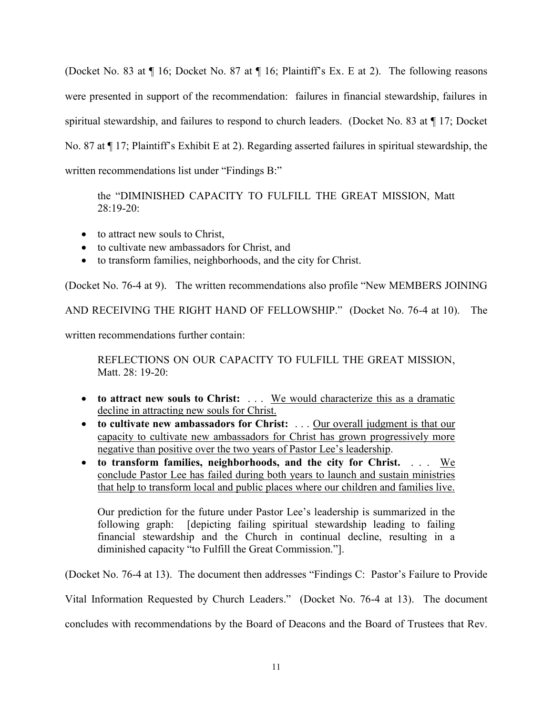(Docket No. 83 at ¶ 16; Docket No. 87 at ¶ 16; Plaintiff's Ex. E at 2). The following reasons were presented in support of the recommendation: failures in financial stewardship, failures in spiritual stewardship, and failures to respond to church leaders. (Docket No. 83 at ¶ 17; Docket No. 87 at ¶ 17; Plaintiff's Exhibit E at 2). Regarding asserted failures in spiritual stewardship, the written recommendations list under "Findings B:"

the "DIMINISHED CAPACITY TO FULFILL THE GREAT MISSION, Matt 28:19-20:

- to attract new souls to Christ,
- to cultivate new ambassadors for Christ, and
- to transform families, neighborhoods, and the city for Christ.

(Docket No. 76-4 at 9). The written recommendations also profile "New MEMBERS JOINING

AND RECEIVING THE RIGHT HAND OF FELLOWSHIP." (Docket No. 76-4 at 10). The

written recommendations further contain:

REFLECTIONS ON OUR CAPACITY TO FULFILL THE GREAT MISSION, Matt. 28: 19-20:

- **to attract new souls to Christ:** . . . We would characterize this as a dramatic decline in attracting new souls for Christ.
- **to cultivate new ambassadors for Christ:** . . . Our overall judgment is that our capacity to cultivate new ambassadors for Christ has grown progressively more negative than positive over the two years of Pastor Lee's leadership.
- **to transform families, neighborhoods, and the city for Christ.** . . . We conclude Pastor Lee has failed during both years to launch and sustain ministries that help to transform local and public places where our children and families live.

Our prediction for the future under Pastor Lee's leadership is summarized in the following graph: [depicting failing spiritual stewardship leading to failing financial stewardship and the Church in continual decline, resulting in a diminished capacity "to Fulfill the Great Commission."].

(Docket No. 76-4 at 13). The document then addresses "Findings C: Pastor's Failure to Provide

Vital Information Requested by Church Leaders." (Docket No. 76-4 at 13). The document

concludes with recommendations by the Board of Deacons and the Board of Trustees that Rev.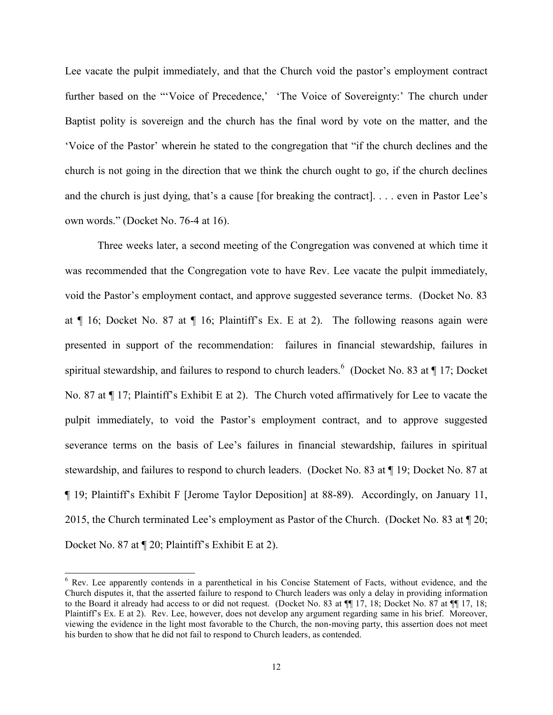Lee vacate the pulpit immediately, and that the Church void the pastor's employment contract further based on the "'Voice of Precedence,' 'The Voice of Sovereignty:' The church under Baptist polity is sovereign and the church has the final word by vote on the matter, and the 'Voice of the Pastor' wherein he stated to the congregation that "if the church declines and the church is not going in the direction that we think the church ought to go, if the church declines and the church is just dying, that's a cause [for breaking the contract]. . . . even in Pastor Lee's own words." (Docket No. 76-4 at 16).

Three weeks later, a second meeting of the Congregation was convened at which time it was recommended that the Congregation vote to have Rev. Lee vacate the pulpit immediately, void the Pastor's employment contact, and approve suggested severance terms. (Docket No. 83 at ¶ 16; Docket No. 87 at ¶ 16; Plaintiff's Ex. E at 2). The following reasons again were presented in support of the recommendation: failures in financial stewardship, failures in spiritual stewardship, and failures to respond to church leaders.  $\frac{6}{10}$  (Docket No. 83 at ¶ 17; Docket No. 87 at ¶ 17; Plaintiff's Exhibit E at 2). The Church voted affirmatively for Lee to vacate the pulpit immediately, to void the Pastor's employment contract, and to approve suggested severance terms on the basis of Lee's failures in financial stewardship, failures in spiritual stewardship, and failures to respond to church leaders. (Docket No. 83 at ¶ 19; Docket No. 87 at ¶ 19; Plaintiff's Exhibit F [Jerome Taylor Deposition] at 88-89). Accordingly, on January 11, 2015, the Church terminated Lee's employment as Pastor of the Church. (Docket No. 83 at ¶ 20; Docket No. 87 at ¶ 20; Plaintiff's Exhibit E at 2).

 $\overline{a}$ 

<sup>6</sup> Rev. Lee apparently contends in a parenthetical in his Concise Statement of Facts, without evidence, and the Church disputes it, that the asserted failure to respond to Church leaders was only a delay in providing information to the Board it already had access to or did not request. (Docket No. 83 at ¶¶ 17, 18; Docket No. 87 at ¶¶ 17, 18; Plaintiff's Ex. E at 2). Rev. Lee, however, does not develop any argument regarding same in his brief. Moreover, viewing the evidence in the light most favorable to the Church, the non-moving party, this assertion does not meet his burden to show that he did not fail to respond to Church leaders, as contended.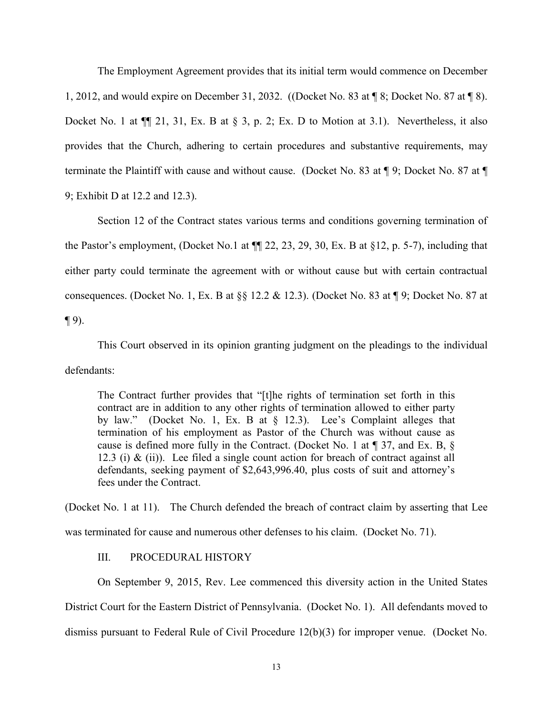The Employment Agreement provides that its initial term would commence on December 1, 2012, and would expire on December 31, 2032. ((Docket No. 83 at ¶ 8; Docket No. 87 at ¶ 8). Docket No. 1 at  $\P$ [[ 21, 31, Ex. B at  $\S$  3, p. 2; Ex. D to Motion at 3.1). Nevertheless, it also provides that the Church, adhering to certain procedures and substantive requirements, may terminate the Plaintiff with cause and without cause. (Docket No. 83 at ¶ 9; Docket No. 87 at ¶ 9; Exhibit D at 12.2 and 12.3).

Section 12 of the Contract states various terms and conditions governing termination of the Pastor's employment, (Docket No.1 at  $\P$  22, 23, 29, 30, Ex. B at §12, p. 5-7), including that either party could terminate the agreement with or without cause but with certain contractual consequences. (Docket No. 1, Ex. B at §§ 12.2 & 12.3). (Docket No. 83 at ¶ 9; Docket No. 87 at  $\P(9)$ .

This Court observed in its opinion granting judgment on the pleadings to the individual defendants:

The Contract further provides that "[t]he rights of termination set forth in this contract are in addition to any other rights of termination allowed to either party by law." (Docket No. 1, Ex. B at § 12.3). Lee's Complaint alleges that termination of his employment as Pastor of the Church was without cause as cause is defined more fully in the Contract. (Docket No. 1 at ¶ 37, and Ex. B, § 12.3 (i)  $\&$  (ii)). Lee filed a single count action for breach of contract against all defendants, seeking payment of \$2,643,996.40, plus costs of suit and attorney's fees under the Contract.

(Docket No. 1 at 11). The Church defended the breach of contract claim by asserting that Lee was terminated for cause and numerous other defenses to his claim. (Docket No. 71).

# III. PROCEDURAL HISTORY

On September 9, 2015, Rev. Lee commenced this diversity action in the United States District Court for the Eastern District of Pennsylvania. (Docket No. 1). All defendants moved to dismiss pursuant to Federal Rule of Civil Procedure 12(b)(3) for improper venue. (Docket No.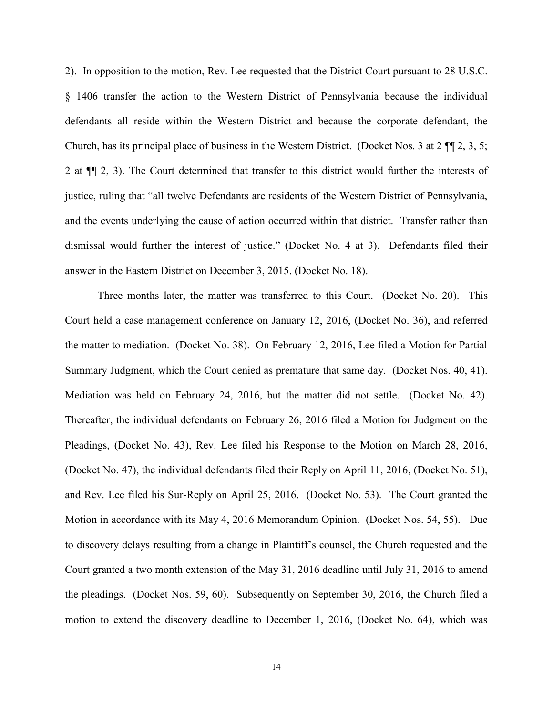2). In opposition to the motion, Rev. Lee requested that the District Court pursuant to 28 U.S.C. § 1406 transfer the action to the Western District of Pennsylvania because the individual defendants all reside within the Western District and because the corporate defendant, the Church, has its principal place of business in the Western District. (Docket Nos. 3 at 2 ¶¶ 2, 3, 5; 2 at ¶¶ 2, 3). The Court determined that transfer to this district would further the interests of justice, ruling that "all twelve Defendants are residents of the Western District of Pennsylvania, and the events underlying the cause of action occurred within that district. Transfer rather than dismissal would further the interest of justice." (Docket No. 4 at 3). Defendants filed their answer in the Eastern District on December 3, 2015. (Docket No. 18).

Three months later, the matter was transferred to this Court. (Docket No. 20). This Court held a case management conference on January 12, 2016, (Docket No. 36), and referred the matter to mediation. (Docket No. 38). On February 12, 2016, Lee filed a Motion for Partial Summary Judgment, which the Court denied as premature that same day. (Docket Nos. 40, 41). Mediation was held on February 24, 2016, but the matter did not settle. (Docket No. 42). Thereafter, the individual defendants on February 26, 2016 filed a Motion for Judgment on the Pleadings, (Docket No. 43), Rev. Lee filed his Response to the Motion on March 28, 2016, (Docket No. 47), the individual defendants filed their Reply on April 11, 2016, (Docket No. 51), and Rev. Lee filed his Sur-Reply on April 25, 2016. (Docket No. 53). The Court granted the Motion in accordance with its May 4, 2016 Memorandum Opinion. (Docket Nos. 54, 55). Due to discovery delays resulting from a change in Plaintiff's counsel, the Church requested and the Court granted a two month extension of the May 31, 2016 deadline until July 31, 2016 to amend the pleadings. (Docket Nos. 59, 60). Subsequently on September 30, 2016, the Church filed a motion to extend the discovery deadline to December 1, 2016, (Docket No. 64), which was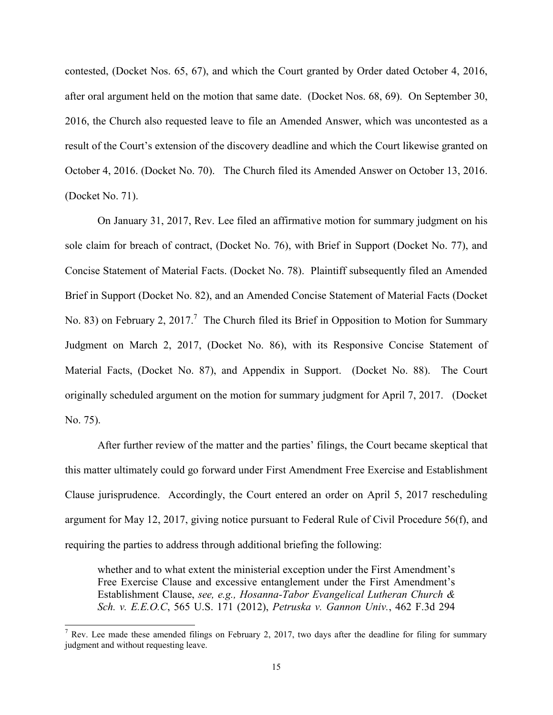contested, (Docket Nos. 65, 67), and which the Court granted by Order dated October 4, 2016, after oral argument held on the motion that same date. (Docket Nos. 68, 69). On September 30, 2016, the Church also requested leave to file an Amended Answer, which was uncontested as a result of the Court's extension of the discovery deadline and which the Court likewise granted on October 4, 2016. (Docket No. 70). The Church filed its Amended Answer on October 13, 2016. (Docket No. 71).

On January 31, 2017, Rev. Lee filed an affirmative motion for summary judgment on his sole claim for breach of contract, (Docket No. 76), with Brief in Support (Docket No. 77), and Concise Statement of Material Facts. (Docket No. 78). Plaintiff subsequently filed an Amended Brief in Support (Docket No. 82), and an Amended Concise Statement of Material Facts (Docket No. 83) on February 2, 2017.<sup>7</sup> The Church filed its Brief in Opposition to Motion for Summary Judgment on March 2, 2017, (Docket No. 86), with its Responsive Concise Statement of Material Facts, (Docket No. 87), and Appendix in Support. (Docket No. 88). The Court originally scheduled argument on the motion for summary judgment for April 7, 2017. (Docket No. 75).

After further review of the matter and the parties' filings, the Court became skeptical that this matter ultimately could go forward under First Amendment Free Exercise and Establishment Clause jurisprudence.Accordingly, the Court entered an order on April 5, 2017 rescheduling argument for May 12, 2017, giving notice pursuant to Federal Rule of Civil Procedure 56(f), and requiring the parties to address through additional briefing the following:

whether and to what extent the ministerial exception under the First Amendment's Free Exercise Clause and excessive entanglement under the First Amendment's Establishment Clause, *see, e.g., Hosanna-Tabor Evangelical Lutheran Church & Sch. v. E.E.O.C*, 565 U.S. 171 (2012), *Petruska v. Gannon Univ.*, 462 F.3d 294

 $\overline{a}$ 

<sup>&</sup>lt;sup>7</sup> Rev. Lee made these amended filings on February 2, 2017, two days after the deadline for filing for summary judgment and without requesting leave.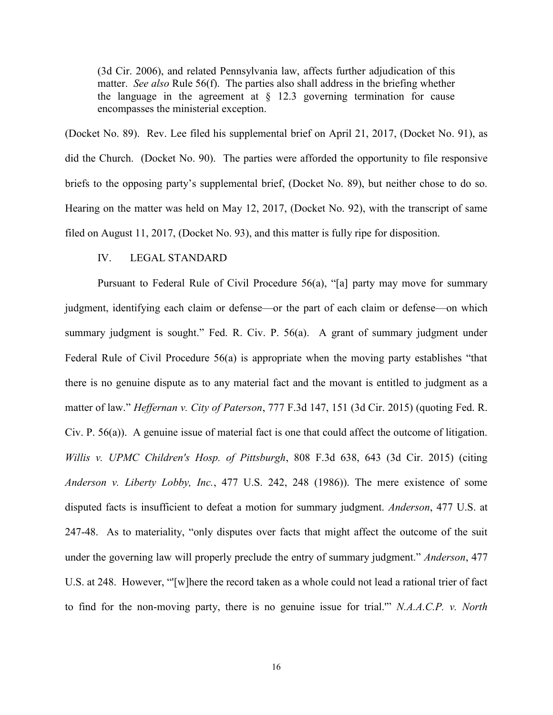(3d Cir. 2006), and related Pennsylvania law, affects further adjudication of this matter. *See also* Rule 56(f). The parties also shall address in the briefing whether the language in the agreement at  $\S$  12.3 governing termination for cause encompasses the ministerial exception.

(Docket No. 89). Rev. Lee filed his supplemental brief on April 21, 2017, (Docket No. 91), as did the Church. (Docket No. 90). The parties were afforded the opportunity to file responsive briefs to the opposing party's supplemental brief, (Docket No. 89), but neither chose to do so. Hearing on the matter was held on May 12, 2017, (Docket No. 92), with the transcript of same filed on August 11, 2017, (Docket No. 93), and this matter is fully ripe for disposition.

#### IV. LEGAL STANDARD

Pursuant to Federal Rule of Civil Procedure 56(a), "[a] party may move for summary judgment, identifying each claim or defense—or the part of each claim or defense—on which summary judgment is sought." [Fed. R. Civ. P. 56\(a\).](https://1.next.westlaw.com/Link/Document/FullText?findType=L&pubNum=1000600&cite=USFRCPR56&originatingDoc=I3f2110a01cc711e6a647af7ccdd8c5d2&refType=LQ&originationContext=document&transitionType=DocumentItem&contextData=(sc.Search)) A grant of summary judgment under Federal Rule of Civil Procedure 56(a) is appropriate when the moving party establishes "that there is no genuine dispute as to any material fact and the movant is entitled to judgment as a matter of law." *Heffernan v. City of Paterson*, 777 F.3d 147, 151 (3d Cir. 2015) (quoting [Fed. R.](https://1.next.westlaw.com/Link/Document/FullText?findType=L&pubNum=1000600&cite=USFRCPR56&originatingDoc=I3f2110a01cc711e6a647af7ccdd8c5d2&refType=LQ&originationContext=document&transitionType=DocumentItem&contextData=(sc.Search))  [Civ. P. 56\(a\)\)](https://1.next.westlaw.com/Link/Document/FullText?findType=L&pubNum=1000600&cite=USFRCPR56&originatingDoc=I3f2110a01cc711e6a647af7ccdd8c5d2&refType=LQ&originationContext=document&transitionType=DocumentItem&contextData=(sc.Search)). A genuine issue of material fact is one that could affect the outcome of litigation. *Willis v. UPMC Children's Hosp. of Pittsburgh*, 808 F.3d 638, 643 (3d Cir. 2015) (citing *Anderson v. Liberty Lobby, Inc.*, 477 U.S. 242, 248 (1986)). The mere existence of some disputed facts is insufficient to defeat a motion for summary judgment. *Anderson*, 477 U.S. at 247-48. As to materiality, "only disputes over facts that might affect the outcome of the suit under the governing law will properly preclude the entry of summary judgment." *Anderson*, 477 U.S. at 248. However, "'[w]here the record taken as a whole could not lead a rational trier of fact to find for the non-moving party, there is no genuine issue for trial.'" *N.A.A.C.P. v. North*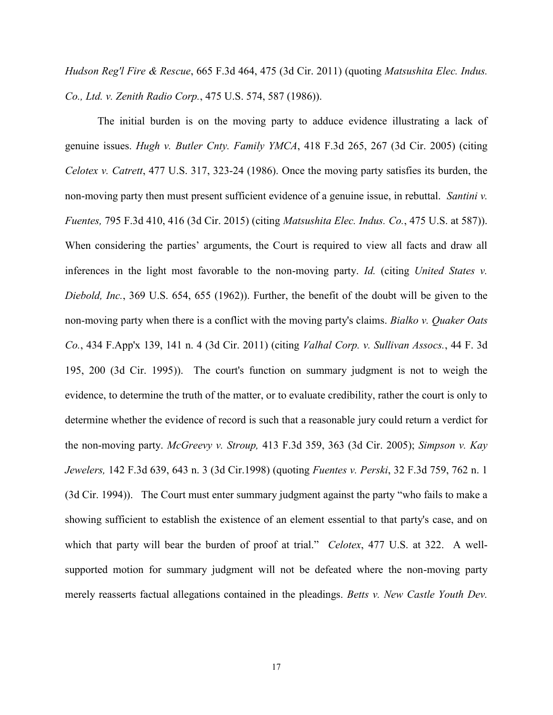*Hudson Reg'l Fire & Rescue*, 665 F.3d 464, 475 (3d Cir. 2011) (quoting *Matsushita Elec. Indus. Co., Ltd. v. Zenith Radio Corp.*, 475 U.S. 574, 587 (1986)).

The initial burden is on the moving party to adduce evidence illustrating a lack of genuine issues. *Hugh v. Butler Cnty. Family YMCA*, 418 F.3d 265, 267 (3d Cir. 2005) (citing *Celotex v. Catrett*, 477 U.S. 317, 323-24 (1986). Once the moving party satisfies its burden, the non-moving party then must present sufficient evidence of a genuine issue, in rebuttal. *Santini v. Fuentes,* 795 F.3d 410, 416 (3d Cir. 2015) (citing *Matsushita Elec. Indus. Co.*, 475 U.S. at 587)). When considering the parties' arguments, the Court is required to view all facts and draw all inferences in the light most favorable to the non-moving party. *Id.* (citing *United States v. Diebold, Inc.*, 369 U.S. 654, 655 (1962)). Further, the benefit of the doubt will be given to the non-moving party when there is a conflict with the moving party's claims. *Bialko v. Quaker Oats Co.*, 434 F.App'x 139, 141 n. 4 (3d Cir. 2011) (citing *Valhal Corp. v. Sullivan Assocs.*, 44 F. 3d 195, 200 (3d Cir. 1995)). The court's function on summary judgment is not to weigh the evidence, to determine the truth of the matter, or to evaluate credibility, rather the court is only to determine whether the evidence of record is such that a reasonable jury could return a verdict for the non-moving party. *McGreevy v. Stroup,* 413 F.3d 359, 363 (3d Cir. 2005); *Simpson v. Kay Jewelers,* 142 F.3d 639, 643 n. 3 (3d Cir.1998) (quoting *Fuentes v. Perski*, 32 F.3d 759, 762 n. 1 (3d Cir. 1994)). The Court must enter summary judgment against the party "who fails to make a showing sufficient to establish the existence of an element essential to that party's case, and on which that party will bear the burden of proof at trial." *Celotex*, 477 U.S. at 322. A wellsupported motion for summary judgment will not be defeated where the non-moving party merely reasserts factual allegations contained in the pleadings. *Betts v. New Castle Youth Dev.*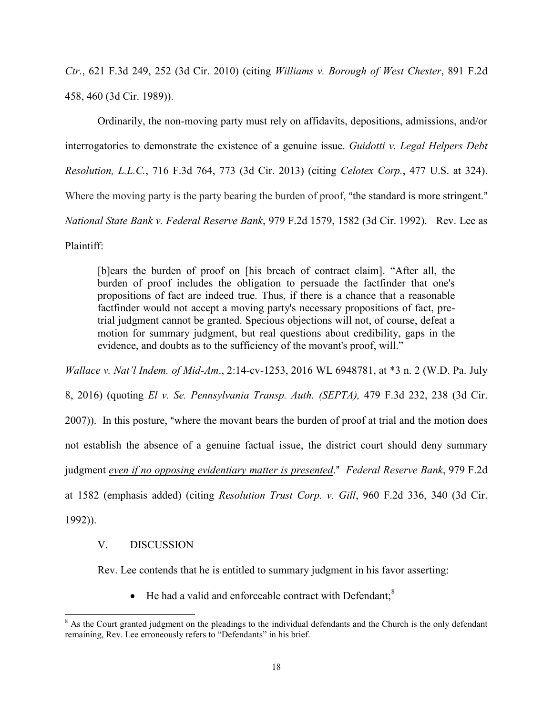*Ctr.*, 621 F.3d 249, 252 (3d Cir. 2010) (citing *Williams v. Borough of West Chester*, 891 F.2d 458, 460 (3d Cir. 1989)).

Ordinarily, the non-moving party must rely on affidavits, depositions, admissions, and/or interrogatories to demonstrate the existence of a genuine issue. *Guidotti v. Legal Helpers Debt Resolution, L.L.C.*, 716 F.3d 764, 773 (3d Cir. 2013) (citing *Celotex Corp.*[, 477 U.S. at 324\)](https://1.next.westlaw.com/Link/Document/FullText?findType=Y&serNum=1986132677&pubNum=0000780&originatingDoc=I3f2110a01cc711e6a647af7ccdd8c5d2&refType=RP&fi=co_pp_sp_780_324&originationContext=document&transitionType=DocumentItem&contextData=(sc.Search)#co_pp_sp_780_324). Where the moving party is the party bearing the burden of proof, "the standard is more stringent." *National State Bank v. Federal Reserve Bank*, 979 F.2d 1579, 1582 (3d Cir. 1992). Rev. Lee as Plaintiff:

[b]ears the burden of proof on [his breach of contract claim]. "After all, the burden of proof includes the obligation to persuade the factfinder that one's propositions of fact are indeed true. Thus, if there is a chance that a reasonable factfinder would not accept a moving party's necessary propositions of fact, pretrial judgment cannot be granted. Specious objections will not, of course, defeat a motion for summary judgment, but real questions about credibility, gaps in the evidence, and doubts as to the sufficiency of the movant's proof, will."

*Wallace v. Nat'l Indem. of Mid-Am*., 2:14-cv-1253, 2016 WL 6948781, at \*3 n. 2 (W.D. Pa. July

8, 2016) (quoting *El v. Se. Pennsylvania Transp. Auth. (SEPTA),* 479 F.3d 232, 238 (3d Cir.

2007)). In this posture, "where the movant bears the burden of proof at trial and the motion does

not establish the absence of a genuine factual issue, the district court should deny summary

judgment *even if no opposing evidentiary matter is presented.*" *Federal Reserve Bank*, 979 F.2d

at 1582 (emphasis added) (citing *Resolution Trust Corp. v. Gill*, 960 F.2d 336, 340 (3d Cir.

1992)).

l

# V. DISCUSSION

Rev. Lee contends that he is entitled to summary judgment in his favor asserting:

 $\bullet$  He had a valid and enforceable contract with Defendant;  $\text{S}$ 

 $8$  As the Court granted judgment on the pleadings to the individual defendants and the Church is the only defendant remaining, Rev. Lee erroneously refers to "Defendants" in his brief.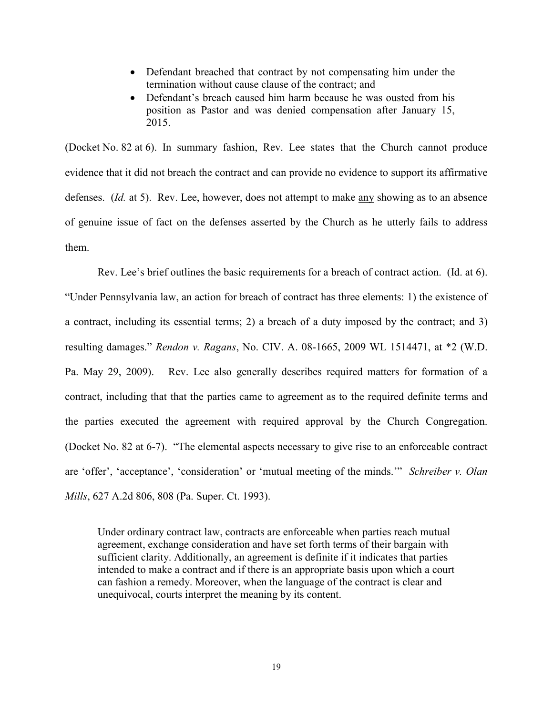- Defendant breached that contract by not compensating him under the termination without cause clause of the contract; and
- Defendant's breach caused him harm because he was ousted from his position as Pastor and was denied compensation after January 15, 2015.

(Docket No. 82 at 6). In summary fashion, Rev. Lee states that the Church cannot produce evidence that it did not breach the contract and can provide no evidence to support its affirmative defenses. (*Id.* at 5). Rev. Lee, however, does not attempt to make any showing as to an absence of genuine issue of fact on the defenses asserted by the Church as he utterly fails to address them.

Rev. Lee's brief outlines the basic requirements for a breach of contract action. (Id. at 6). "Under Pennsylvania law, an action for breach of contract has three elements: 1) the existence of a contract, including its essential terms; 2) a breach of a duty imposed by the contract; and 3) resulting damages." *Rendon v. Ragans*, No. CIV. A. 08-1665, 2009 WL 1514471, at \*2 (W.D. Pa. May 29, 2009). Rev. Lee also generally describes required matters for formation of a contract, including that that the parties came to agreement as to the required definite terms and the parties executed the agreement with required approval by the Church Congregation. (Docket No. 82 at 6-7). "The elemental aspects necessary to give rise to an enforceable contract are 'offer', 'acceptance', 'consideration' or 'mutual meeting of the minds.'" *Schreiber v. Olan Mills*, 627 A.2d 806, 808 (Pa. Super. Ct. 1993).

Under ordinary contract law, contracts are enforceable when parties reach mutual agreement, exchange consideration and have set forth terms of their bargain with sufficient clarity. Additionally, an agreement is definite if it indicates that parties intended to make a contract and if there is an appropriate basis upon which a court can fashion a remedy. Moreover, when the language of the contract is clear and unequivocal, courts interpret the meaning by its content.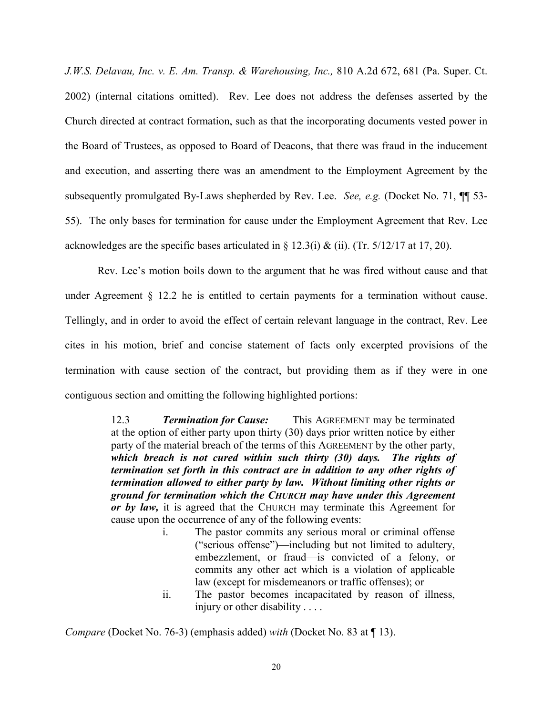*J.W.S. Delavau, Inc. v. E. Am. Transp. & Warehousing, Inc.,* 810 A.2d 672, 681 (Pa. Super. Ct. 2002) (internal citations omitted). Rev. Lee does not address the defenses asserted by the Church directed at contract formation, such as that the incorporating documents vested power in the Board of Trustees, as opposed to Board of Deacons, that there was fraud in the inducement and execution, and asserting there was an amendment to the Employment Agreement by the subsequently promulgated By-Laws shepherded by Rev. Lee. *See, e.g.* (Docket No. 71, ¶¶ 53- 55). The only bases for termination for cause under the Employment Agreement that Rev. Lee acknowledges are the specific bases articulated in § 12.3(i) & (ii). (Tr.  $5/12/17$  at 17, 20).

Rev. Lee's motion boils down to the argument that he was fired without cause and that under Agreement § 12.2 he is entitled to certain payments for a termination without cause. Tellingly, and in order to avoid the effect of certain relevant language in the contract, Rev. Lee cites in his motion, brief and concise statement of facts only excerpted provisions of the termination with cause section of the contract, but providing them as if they were in one contiguous section and omitting the following highlighted portions:

> 12.3 *Termination for Cause:* This AGREEMENT may be terminated at the option of either party upon thirty (30) days prior written notice by either party of the material breach of the terms of this AGREEMENT by the other party, *which breach is not cured within such thirty (30) days. The rights of termination set forth in this contract are in addition to any other rights of termination allowed to either party by law. Without limiting other rights or ground for termination which the CHURCH may have under this Agreement or by law,* it is agreed that the CHURCH may terminate this Agreement for cause upon the occurrence of any of the following events:

- i. The pastor commits any serious moral or criminal offense ("serious offense")—including but not limited to adultery, embezzlement, or fraud—is convicted of a felony, or commits any other act which is a violation of applicable law (except for misdemeanors or traffic offenses); or
- ii. The pastor becomes incapacitated by reason of illness, injury or other disability . . . .

*Compare* (Docket No. 76-3) (emphasis added) *with* (Docket No. 83 at ¶ 13).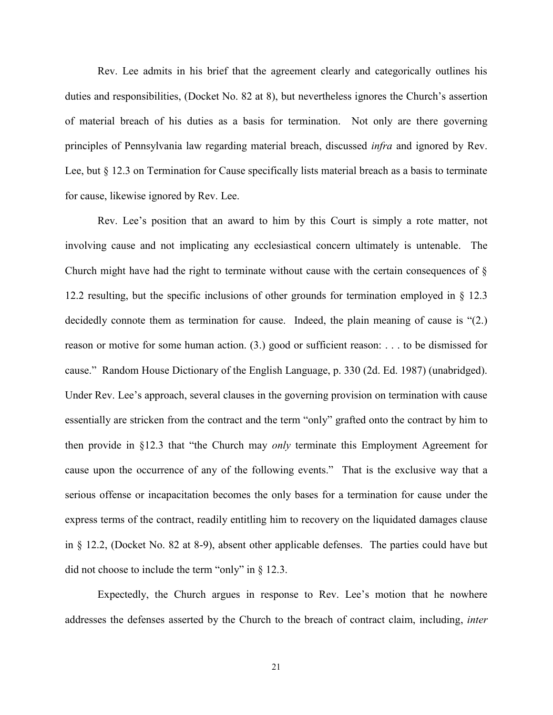Rev. Lee admits in his brief that the agreement clearly and categorically outlines his duties and responsibilities, (Docket No. 82 at 8), but nevertheless ignores the Church's assertion of material breach of his duties as a basis for termination. Not only are there governing principles of Pennsylvania law regarding material breach, discussed *infra* and ignored by Rev. Lee, but § 12.3 on Termination for Cause specifically lists material breach as a basis to terminate for cause, likewise ignored by Rev. Lee.

Rev. Lee's position that an award to him by this Court is simply a rote matter, not involving cause and not implicating any ecclesiastical concern ultimately is untenable. The Church might have had the right to terminate without cause with the certain consequences of § 12.2 resulting, but the specific inclusions of other grounds for termination employed in § 12.3 decidedly connote them as termination for cause. Indeed, the plain meaning of cause is "(2.) reason or motive for some human action. (3.) good or sufficient reason: . . . to be dismissed for cause." Random House Dictionary of the English Language, p. 330 (2d. Ed. 1987) (unabridged). Under Rev. Lee's approach, several clauses in the governing provision on termination with cause essentially are stricken from the contract and the term "only" grafted onto the contract by him to then provide in §12.3 that "the Church may *only* terminate this Employment Agreement for cause upon the occurrence of any of the following events." That is the exclusive way that a serious offense or incapacitation becomes the only bases for a termination for cause under the express terms of the contract, readily entitling him to recovery on the liquidated damages clause in § 12.2, (Docket No. 82 at 8-9), absent other applicable defenses. The parties could have but did not choose to include the term "only" in § 12.3.

Expectedly, the Church argues in response to Rev. Lee's motion that he nowhere addresses the defenses asserted by the Church to the breach of contract claim, including, *inter*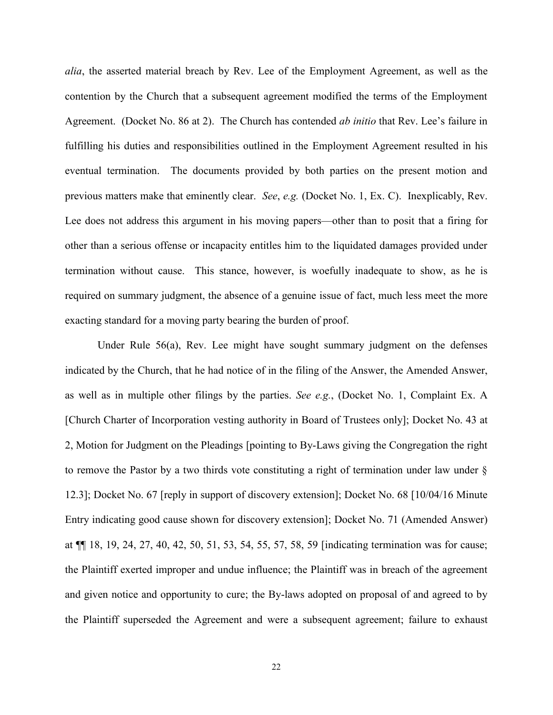*alia*, the asserted material breach by Rev. Lee of the Employment Agreement, as well as the contention by the Church that a subsequent agreement modified the terms of the Employment Agreement. (Docket No. 86 at 2). The Church has contended *ab initio* that Rev. Lee's failure in fulfilling his duties and responsibilities outlined in the Employment Agreement resulted in his eventual termination. The documents provided by both parties on the present motion and previous matters make that eminently clear. *See*, *e.g.* (Docket No. 1, Ex. C). Inexplicably, Rev. Lee does not address this argument in his moving papers—other than to posit that a firing for other than a serious offense or incapacity entitles him to the liquidated damages provided under termination without cause. This stance, however, is woefully inadequate to show, as he is required on summary judgment, the absence of a genuine issue of fact, much less meet the more exacting standard for a moving party bearing the burden of proof.

Under Rule 56(a), Rev. Lee might have sought summary judgment on the defenses indicated by the Church, that he had notice of in the filing of the Answer, the Amended Answer, as well as in multiple other filings by the parties. *See e.g.*, (Docket No. 1, Complaint Ex. A [Church Charter of Incorporation vesting authority in Board of Trustees only]; Docket No. 43 at 2, Motion for Judgment on the Pleadings [pointing to By-Laws giving the Congregation the right to remove the Pastor by a two thirds vote constituting a right of termination under law under § 12.3]; Docket No. 67 [reply in support of discovery extension]; Docket No. 68 [10/04/16 Minute Entry indicating good cause shown for discovery extension]; Docket No. 71 (Amended Answer) at ¶¶ 18, 19, 24, 27, 40, 42, 50, 51, 53, 54, 55, 57, 58, 59 [indicating termination was for cause; the Plaintiff exerted improper and undue influence; the Plaintiff was in breach of the agreement and given notice and opportunity to cure; the By-laws adopted on proposal of and agreed to by the Plaintiff superseded the Agreement and were a subsequent agreement; failure to exhaust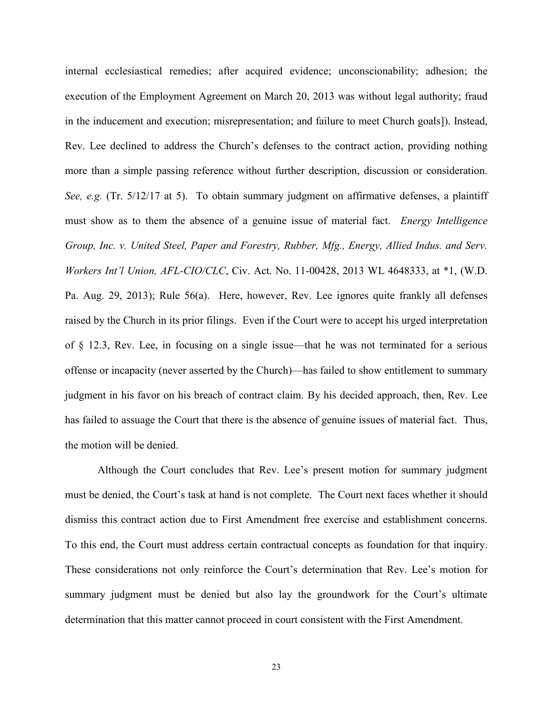internal ecclesiastical remedies; after acquired evidence; unconscionability; adhesion; the execution of the Employment Agreement on March 20, 2013 was without legal authority; fraud in the inducement and execution; misrepresentation; and failure to meet Church goals]). Instead, Rev. Lee declined to address the Church's defenses to the contract action, providing nothing more than a simple passing reference without further description, discussion or consideration. *See, e.g.* (Tr. 5/12/17 at 5). To obtain summary judgment on affirmative defenses, a plaintiff must show as to them the absence of a genuine issue of material fact. *Energy Intelligence Group, Inc. v. United Steel, Paper and Forestry, Rubber, Mfg., Energy, Allied Indus. and Serv. Workers Int'l Union, AFL-CIO/CLC*, Civ. Act. No. 11-00428, 2013 WL 4648333, at \*1, (W.D. Pa. Aug. 29, 2013); Rule 56(a). Here, however, Rev. Lee ignores quite frankly all defenses raised by the Church in its prior filings. Even if the Court were to accept his urged interpretation of § 12.3, Rev. Lee, in focusing on a single issue—that he was not terminated for a serious offense or incapacity (never asserted by the Church)—has failed to show entitlement to summary judgment in his favor on his breach of contract claim. By his decided approach, then, Rev. Lee has failed to assuage the Court that there is the absence of genuine issues of material fact. Thus, the motion will be denied.

Although the Court concludes that Rev. Lee's present motion for summary judgment must be denied, the Court's task at hand is not complete. The Court next faces whether it should dismiss this contract action due to First Amendment free exercise and establishment concerns. To this end, the Court must address certain contractual concepts as foundation for that inquiry. These considerations not only reinforce the Court's determination that Rev. Lee's motion for summary judgment must be denied but also lay the groundwork for the Court's ultimate determination that this matter cannot proceed in court consistent with the First Amendment.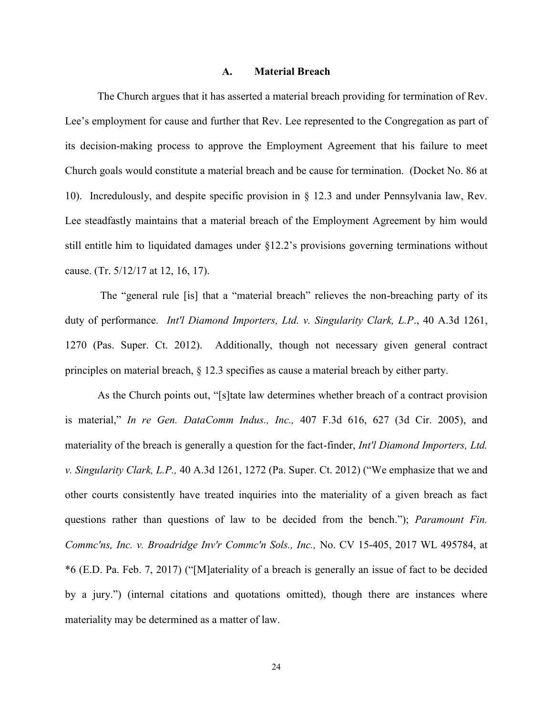#### **A. Material Breach**

The Church argues that it has asserted a material breach providing for termination of Rev. Lee's employment for cause and further that Rev. Lee represented to the Congregation as part of its decision-making process to approve the Employment Agreement that his failure to meet Church goals would constitute a material breach and be cause for termination. (Docket No. 86 at 10). Incredulously, and despite specific provision in § 12.3 and under Pennsylvania law, Rev. Lee steadfastly maintains that a material breach of the Employment Agreement by him would still entitle him to liquidated damages under §12.2's provisions governing terminations without cause. (Tr. 5/12/17 at 12, 16, 17).

The "general rule [is] that a "material breach" relieves the non-breaching party of its duty of performance. *Int'l Diamond Importers, Ltd. v. Singularity Clark, L.P*., 40 A.3d 1261, 1270 (Pas. Super. Ct. 2012). Additionally, though not necessary given general contract principles on material breach, § 12.3 specifies as cause a material breach by either party.

As the Church points out, "[s]tate law determines whether breach of a contract provision is material," *In re Gen. DataComm Indus., Inc.,* 407 F.3d 616, 627 (3d Cir. 2005), and materiality of the breach is generally a question for the fact-finder, *Int'l Diamond Importers, Ltd. v. Singularity Clark, L.P.,* 40 A.3d 1261, 1272 (Pa. Super. Ct. 2012) ("We emphasize that we and other courts consistently have treated inquiries into the materiality of a given breach as fact questions rather than questions of law to be decided from the bench."); *Paramount Fin. Commc'ns, Inc. v. Broadridge Inv'r Commc'n Sols., Inc.,* No. CV 15-405, 2017 WL 495784, at \*6 (E.D. Pa. Feb. 7, 2017) ("[M]ateriality of a breach is generally an issue of fact to be decided by a jury.") (internal citations and quotations omitted), though there are instances where materiality may be determined as a matter of law.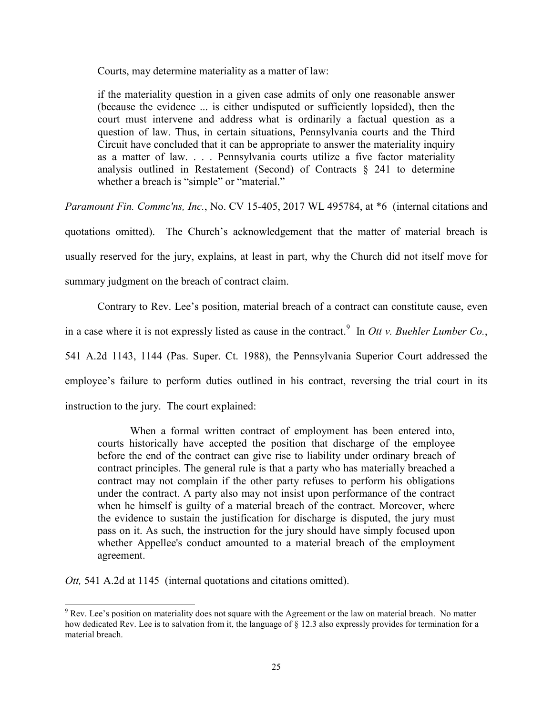Courts, may determine materiality as a matter of law:

if the materiality question in a given case admits of only one reasonable answer (because the evidence ... is either undisputed or sufficiently lopsided), then the court must intervene and address what is ordinarily a factual question as a question of law. Thus, in certain situations, Pennsylvania courts and the Third Circuit have concluded that it can be appropriate to answer the materiality inquiry as a matter of law. . . . Pennsylvania courts utilize a five factor materiality analysis outlined in Restatement (Second) of Contracts  $\S$  241 to determine whether a breach is "simple" or "material."

*Paramount Fin. Commc'ns, Inc.*, No. CV 15-405, 2017 WL 495784, at \*6 (internal citations and quotations omitted). The Church's acknowledgement that the matter of material breach is usually reserved for the jury, explains, at least in part, why the Church did not itself move for summary judgment on the breach of contract claim.

Contrary to Rev. Lee's position, material breach of a contract can constitute cause, even in a case where it is not expressly listed as cause in the contract.<sup>9</sup> In *Ott v. Buehler Lumber Co.*, 541 A.2d 1143, 1144 (Pas. Super. Ct. 1988), the Pennsylvania Superior Court addressed the employee's failure to perform duties outlined in his contract, reversing the trial court in its instruction to the jury. The court explained:

When a formal written contract of employment has been entered into, courts historically have accepted the position that discharge of the employee before the end of the contract can give rise to liability under ordinary breach of contract principles. The general rule is that a party who has materially breached a contract may not complain if the other party refuses to perform his obligations under the contract. A party also may not insist upon performance of the contract when he himself is guilty of a material breach of the contract. Moreover, where the evidence to sustain the justification for discharge is disputed, the jury must pass on it. As such, the instruction for the jury should have simply focused upon whether Appellee's conduct amounted to a material breach of the employment agreement.

*Ott,* 541 A.2d at 1145 (internal quotations and citations omitted).

 $\overline{a}$ 

<sup>&</sup>lt;sup>9</sup> Rev. Lee's position on materiality does not square with the Agreement or the law on material breach. No matter how dedicated Rev. Lee is to salvation from it, the language of § 12.3 also expressly provides for termination for a material breach.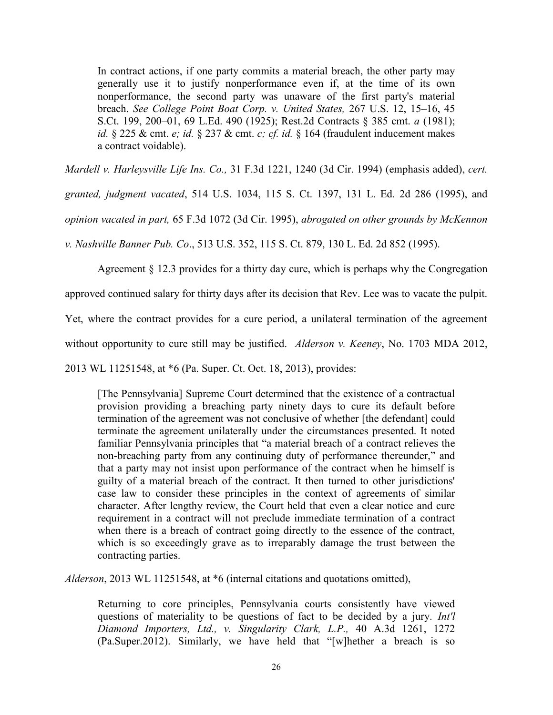In contract actions, if one party commits a material breach, the other party may generally use it to justify nonperformance even if, at the time of its own nonperformance, the second party was unaware of the first party's material breach. *See College Point Boat Corp. v. United States,* 267 U.S. 12, 15–16, 45 S.Ct. 199, 200–01, 69 L.Ed. 490 (1925); Rest.2d Contracts § 385 cmt. *a* (1981); *id.* § 225 & cmt. *e; id.* § 237 & cmt. *c; cf. id.* § 164 (fraudulent inducement makes a contract voidable).

*Mardell v. Harleysville Life Ins. Co.,* 31 F.3d 1221, 1240 (3d Cir. 1994) (emphasis added), *cert.* 

*granted, judgment vacated*, 514 U.S. 1034, 115 S. Ct. 1397, 131 L. Ed. 2d 286 (1995), and

*opinion vacated in part,* 65 F.3d 1072 (3d Cir. 1995), *abrogated on other grounds by McKennon* 

*v. Nashville Banner Pub. Co*., 513 U.S. 352, 115 S. Ct. 879, 130 L. Ed. 2d 852 (1995).

Agreement § 12.3 provides for a thirty day cure, which is perhaps why the Congregation

approved continued salary for thirty days after its decision that Rev. Lee was to vacate the pulpit.

Yet, where the contract provides for a cure period, a unilateral termination of the agreement

without opportunity to cure still may be justified. *Alderson v. Keeney*, No. 1703 MDA 2012,

2013 WL 11251548, at \*6 (Pa. Super. Ct. Oct. 18, 2013), provides:

[The Pennsylvania] Supreme Court determined that the existence of a contractual provision providing a breaching party ninety days to cure its default before termination of the agreement was not conclusive of whether [the defendant] could terminate the agreement unilaterally under the circumstances presented. It noted familiar Pennsylvania principles that "a material breach of a contract relieves the non-breaching party from any continuing duty of performance thereunder," and that a party may not insist upon performance of the contract when he himself is guilty of a material breach of the contract. It then turned to other jurisdictions' case law to consider these principles in the context of agreements of similar character. After lengthy review, the Court held that even a clear notice and cure requirement in a contract will not preclude immediate termination of a contract when there is a breach of contract going directly to the essence of the contract, which is so exceedingly grave as to irreparably damage the trust between the contracting parties.

*Alderson*, 2013 WL 11251548, at \*6 (internal citations and quotations omitted),

Returning to core principles, Pennsylvania courts consistently have viewed questions of materiality to be questions of fact to be decided by a jury. *Int'l Diamond Importers, Ltd., v. Singularity Clark, L.P.,* 40 A.3d 1261, 1272 (Pa.Super.2012). Similarly, we have held that "[w]hether a breach is so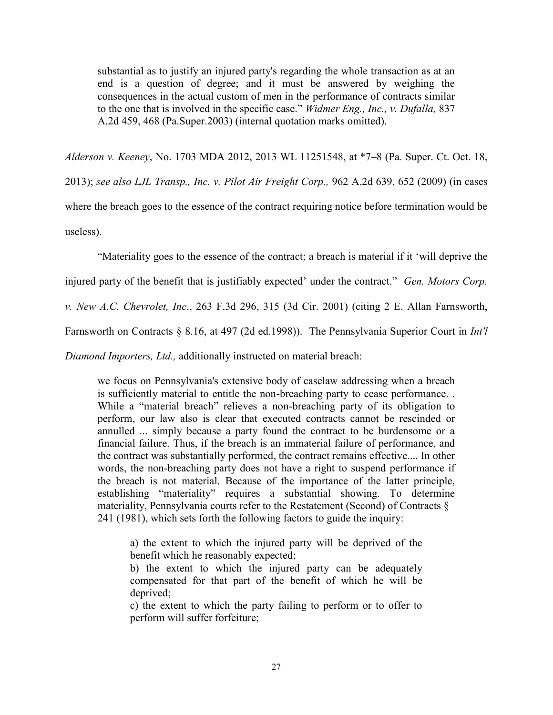substantial as to justify an injured party's regarding the whole transaction as at an end is a question of degree; and it must be answered by weighing the consequences in the actual custom of men in the performance of contracts similar to the one that is involved in the specific case." *Widmer Eng., Inc., v. Dufalla,* 837 A.2d 459, 468 (Pa.Super.2003) (internal quotation marks omitted).

*Alderson v. Keeney*, No. 1703 MDA 2012, 2013 WL 11251548, at \*7–8 (Pa. Super. Ct. Oct. 18, 2013); *see also LJL Transp., Inc. v. Pilot Air Freight Corp.,* 962 A.2d 639, 652 (2009) (in cases where the breach goes to the essence of the contract requiring notice before termination would be useless).

"Materiality goes to the essence of the contract; a breach is material if it 'will deprive the

injured party of the benefit that is justifiably expected' under the contract." *Gen. Motors Corp.* 

*v. New A.C. Chevrolet, Inc*., 263 F.3d 296, 315 (3d Cir. 2001) (citing 2 E. Allan Farnsworth,

Farnsworth on Contracts § 8.16, at 497 (2d ed.1998)). The Pennsylvania Superior Court in *Int'l* 

*Diamond Importers, Ltd.,* additionally instructed on material breach:

we focus on Pennsylvania's extensive body of caselaw addressing when a breach is sufficiently material to entitle the non-breaching party to cease performance. . While a "material breach" relieves a non-breaching party of its obligation to perform, our law also is clear that executed contracts cannot be rescinded or annulled ... simply because a party found the contract to be burdensome or a financial failure. Thus, if the breach is an immaterial failure of performance, and the contract was substantially performed, the contract remains effective.... In other words, the non-breaching party does not have a right to suspend performance if the breach is not material. Because of the importance of the latter principle, establishing "materiality" requires a substantial showing. To determine materiality, Pennsylvania courts refer to the Restatement (Second) of Contracts § 241 (1981), which sets forth the following factors to guide the inquiry:

a) the extent to which the injured party will be deprived of the benefit which he reasonably expected;

b) the extent to which the injured party can be adequately compensated for that part of the benefit of which he will be deprived;

c) the extent to which the party failing to perform or to offer to perform will suffer forfeiture;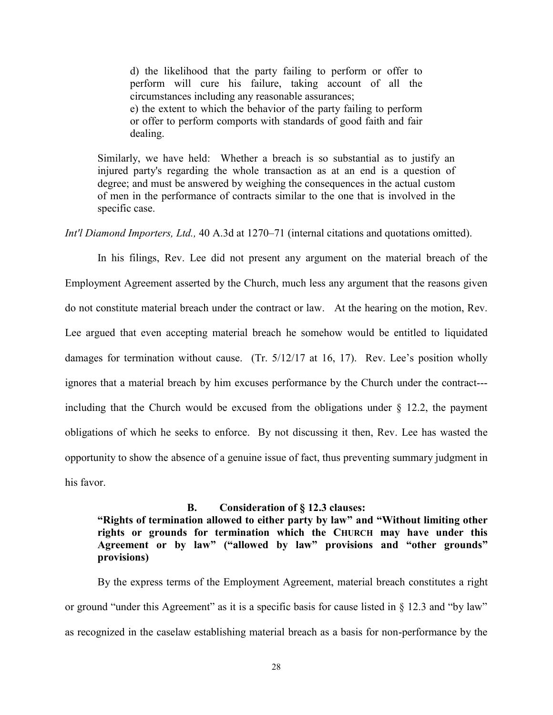d) the likelihood that the party failing to perform or offer to perform will cure his failure, taking account of all the circumstances including any reasonable assurances; e) the extent to which the behavior of the party failing to perform or offer to perform comports with standards of good faith and fair

dealing.

Similarly, we have held: Whether a breach is so substantial as to justify an injured party's regarding the whole transaction as at an end is a question of degree; and must be answered by weighing the consequences in the actual custom of men in the performance of contracts similar to the one that is involved in the specific case.

*Int'l Diamond Importers, Ltd.,* 40 A.3d at 1270–71 (internal citations and quotations omitted).

In his filings, Rev. Lee did not present any argument on the material breach of the Employment Agreement asserted by the Church, much less any argument that the reasons given do not constitute material breach under the contract or law. At the hearing on the motion, Rev. Lee argued that even accepting material breach he somehow would be entitled to liquidated damages for termination without cause. (Tr. 5/12/17 at 16, 17). Rev. Lee's position wholly ignores that a material breach by him excuses performance by the Church under the contract-- including that the Church would be excused from the obligations under  $\S$  12.2, the payment obligations of which he seeks to enforce. By not discussing it then, Rev. Lee has wasted the opportunity to show the absence of a genuine issue of fact, thus preventing summary judgment in his favor.

#### **B. Consideration of § 12.3 clauses:**

**"Rights of termination allowed to either party by law" and "Without limiting other rights or grounds for termination which the CHURCH may have under this Agreement or by law" ("allowed by law" provisions and "other grounds" provisions)**

By the express terms of the Employment Agreement, material breach constitutes a right or ground "under this Agreement" as it is a specific basis for cause listed in § 12.3 and "by law" as recognized in the caselaw establishing material breach as a basis for non-performance by the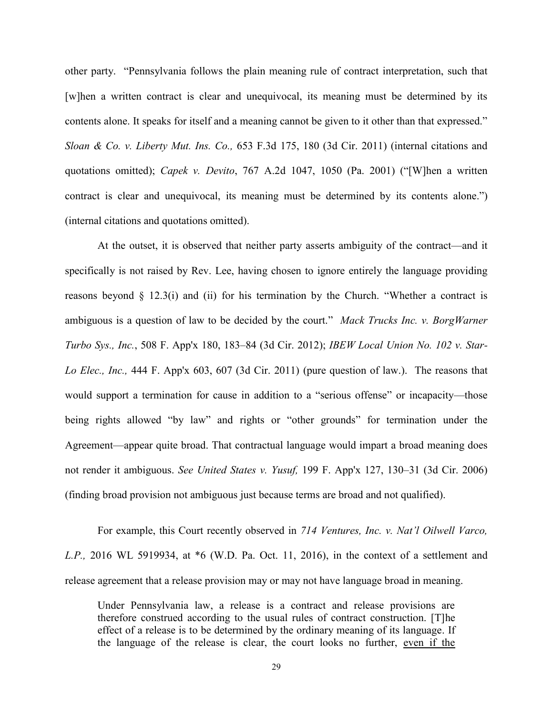other party. "Pennsylvania follows the plain meaning rule of contract interpretation, such that [w]hen a written contract is clear and unequivocal, its meaning must be determined by its contents alone. It speaks for itself and a meaning cannot be given to it other than that expressed." *Sloan & Co. v. Liberty Mut. Ins. Co.,* 653 F.3d 175, 180 (3d Cir. 2011) (internal citations and quotations omitted); *Capek v. Devito*, 767 A.2d 1047, 1050 (Pa. 2001) ("[W]hen a written contract is clear and unequivocal, its meaning must be determined by its contents alone.") (internal citations and quotations omitted).

At the outset, it is observed that neither party asserts ambiguity of the contract—and it specifically is not raised by Rev. Lee, having chosen to ignore entirely the language providing reasons beyond  $\S$  12.3(i) and (ii) for his termination by the Church. "Whether a contract is ambiguous is a question of law to be decided by the court." *Mack Trucks Inc. v. BorgWarner Turbo Sys., Inc.*, 508 F. App'x 180, 183–84 (3d Cir. 2012); *IBEW Local Union No. 102 v. Star-Lo Elec., Inc.,* 444 F. App'x 603, 607 (3d Cir. 2011) (pure question of law.). The reasons that would support a termination for cause in addition to a "serious offense" or incapacity—those being rights allowed "by law" and rights or "other grounds" for termination under the Agreement—appear quite broad. That contractual language would impart a broad meaning does not render it ambiguous. *See United States v. Yusuf,* 199 F. App'x 127, 130–31 (3d Cir. 2006) (finding broad provision not ambiguous just because terms are broad and not qualified).

For example, this Court recently observed in *714 Ventures, Inc. v. Nat'l Oilwell Varco, L.P.,* 2016 WL 5919934, at \*6 (W.D. Pa. Oct. 11, 2016), in the context of a settlement and release agreement that a release provision may or may not have language broad in meaning.

Under Pennsylvania law, a release is a contract and release provisions are therefore construed according to the usual rules of contract construction. [T]he effect of a release is to be determined by the ordinary meaning of its language. If the language of the release is clear, the court looks no further, even if the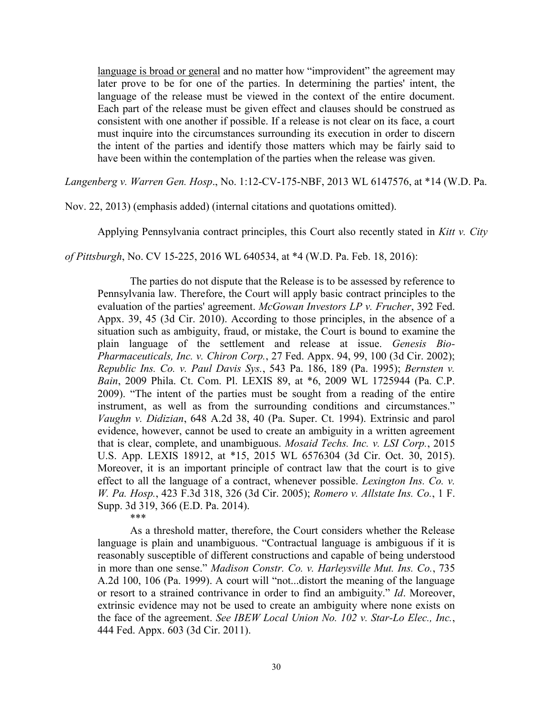language is broad or general and no matter how "improvident" the agreement may later prove to be for one of the parties. In determining the parties' intent, the language of the release must be viewed in the context of the entire document. Each part of the release must be given effect and clauses should be construed as consistent with one another if possible. If a release is not clear on its face, a court must inquire into the circumstances surrounding its execution in order to discern the intent of the parties and identify those matters which may be fairly said to have been within the contemplation of the parties when the release was given.

*Langenberg v. Warren Gen. Hosp*., No. 1:12-CV-175-NBF, 2013 WL 6147576, at \*14 (W.D. Pa.

Nov. 22, 2013) (emphasis added) (internal citations and quotations omitted).

Applying Pennsylvania contract principles, this Court also recently stated in *Kitt v. City* 

*of Pittsburgh*, No. CV 15-225, 2016 WL 640534, at \*4 (W.D. Pa. Feb. 18, 2016):

The parties do not dispute that the Release is to be assessed by reference to Pennsylvania law. Therefore, the Court will apply basic contract principles to the evaluation of the parties' agreement. *McGowan Investors LP v. Frucher*, 392 Fed. Appx. 39, 45 (3d Cir. 2010). According to those principles, in the absence of a situation such as ambiguity, fraud, or mistake, the Court is bound to examine the plain language of the settlement and release at issue. *Genesis Bio-Pharmaceuticals, Inc. v. Chiron Corp.*, 27 Fed. Appx. 94, 99, 100 (3d Cir. 2002); *Republic Ins. Co. v. Paul Davis Sys.*, 543 Pa. 186, 189 (Pa. 1995); *Bernsten v. Bain*, 2009 Phila. Ct. Com. Pl. LEXIS 89, at \*6, 2009 WL 1725944 (Pa. C.P. 2009). "The intent of the parties must be sought from a reading of the entire instrument, as well as from the surrounding conditions and circumstances." *Vaughn v. Didizian*, 648 A.2d 38, 40 (Pa. Super. Ct. 1994). Extrinsic and parol evidence, however, cannot be used to create an ambiguity in a written agreement that is clear, complete, and unambiguous. *Mosaid Techs. Inc. v. LSI Corp.*, 2015 U.S. App. LEXIS 18912, at \*15, 2015 WL 6576304 (3d Cir. Oct. 30, 2015). Moreover, it is an important principle of contract law that the court is to give effect to all the language of a contract, whenever possible. *Lexington Ins. Co. v. W. Pa. Hosp.*, 423 F.3d 318, 326 (3d Cir. 2005); *Romero v. Allstate Ins. Co.*, 1 F. Supp. 3d 319, 366 (E.D. Pa. 2014). \*\*\*

As a threshold matter, therefore, the Court considers whether the Release language is plain and unambiguous. "Contractual language is ambiguous if it is reasonably susceptible of different constructions and capable of being understood in more than one sense." *Madison Constr. Co. v. Harleysville Mut. Ins. Co.*, 735 A.2d 100, 106 (Pa. 1999). A court will "not...distort the meaning of the language or resort to a strained contrivance in order to find an ambiguity." *Id*. Moreover, extrinsic evidence may not be used to create an ambiguity where none exists on the face of the agreement. *See IBEW Local Union No. 102 v. Star-Lo Elec., Inc.*, 444 Fed. Appx. 603 (3d Cir. 2011).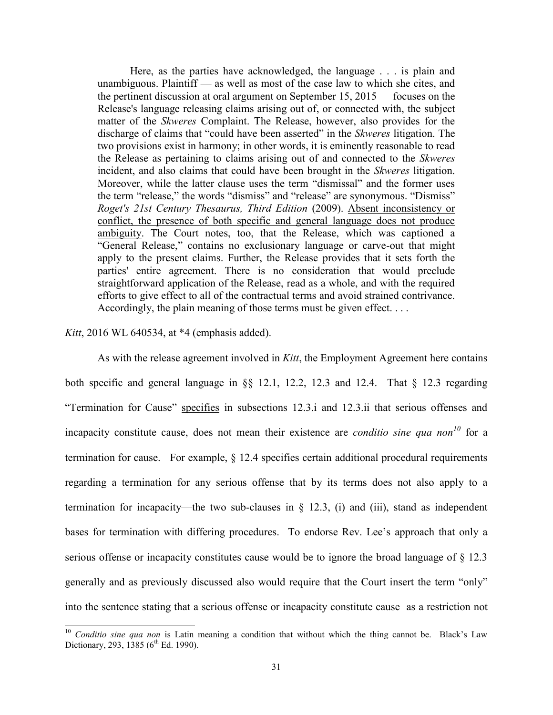Here, as the parties have acknowledged, the language . . . is plain and unambiguous. Plaintiff — as well as most of the case law to which she cites, and the pertinent discussion at oral argument on September 15, 2015 — focuses on the Release's language releasing claims arising out of, or connected with, the subject matter of the *Skweres* Complaint. The Release, however, also provides for the discharge of claims that "could have been asserted" in the *Skweres* litigation. The two provisions exist in harmony; in other words, it is eminently reasonable to read the Release as pertaining to claims arising out of and connected to the *Skweres* incident, and also claims that could have been brought in the *Skweres* litigation. Moreover, while the latter clause uses the term "dismissal" and the former uses the term "release," the words "dismiss" and "release" are synonymous. "Dismiss" *Roget's 21st Century Thesaurus, Third Edition* (2009). Absent inconsistency or conflict, the presence of both specific and general language does not produce ambiguity. The Court notes, too, that the Release, which was captioned a "General Release," contains no exclusionary language or carve-out that might apply to the present claims. Further, the Release provides that it sets forth the parties' entire agreement. There is no consideration that would preclude straightforward application of the Release, read as a whole, and with the required efforts to give effect to all of the contractual terms and avoid strained contrivance. Accordingly, the plain meaning of those terms must be given effect. . . .

# *Kitt*, 2016 WL 640534, at \*4 (emphasis added).

 $\overline{a}$ 

As with the release agreement involved in *Kitt*, the Employment Agreement here contains both specific and general language in §§ 12.1, 12.2, 12.3 and 12.4. That § 12.3 regarding "Termination for Cause" specifies in subsections 12.3.i and 12.3.ii that serious offenses and incapacity constitute cause, does not mean their existence are *conditio sine qua non<sup>10</sup>* for a termination for cause. For example, § 12.4 specifies certain additional procedural requirements regarding a termination for any serious offense that by its terms does not also apply to a termination for incapacity—the two sub-clauses in  $\S$  12.3, (i) and (iii), stand as independent bases for termination with differing procedures. To endorse Rev. Lee's approach that only a serious offense or incapacity constitutes cause would be to ignore the broad language of § 12.3 generally and as previously discussed also would require that the Court insert the term "only" into the sentence stating that a serious offense or incapacity constitute cause as a restriction not

<sup>&</sup>lt;sup>10</sup> Conditio sine qua non is Latin meaning a condition that without which the thing cannot be. Black's Law Dictionary, 293, 1385 ( $6^{\text{th}}$  Ed. 1990).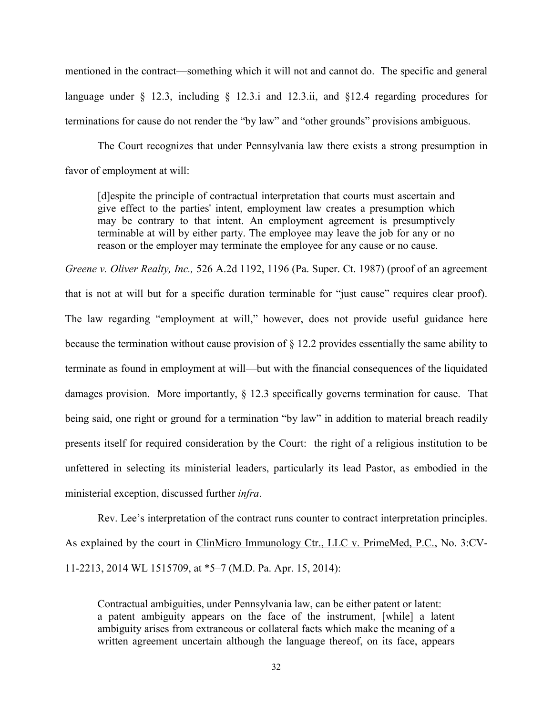mentioned in the contract—something which it will not and cannot do. The specific and general language under § 12.3, including § 12.3.i and 12.3.ii, and §12.4 regarding procedures for terminations for cause do not render the "by law" and "other grounds" provisions ambiguous.

The Court recognizes that under Pennsylvania law there exists a strong presumption in favor of employment at will:

[d]espite the principle of contractual interpretation that courts must ascertain and give effect to the parties' intent, employment law creates a presumption which may be contrary to that intent. An employment agreement is presumptively terminable at will by either party. The employee may leave the job for any or no reason or the employer may terminate the employee for any cause or no cause.

*Greene v. Oliver Realty, Inc.,* 526 A.2d 1192, 1196 (Pa. Super. Ct. 1987) (proof of an agreement that is not at will but for a specific duration terminable for "just cause" requires clear proof). The law regarding "employment at will," however, does not provide useful guidance here because the termination without cause provision of § 12.2 provides essentially the same ability to terminate as found in employment at will—but with the financial consequences of the liquidated damages provision. More importantly, § 12.3 specifically governs termination for cause. That being said, one right or ground for a termination "by law" in addition to material breach readily presents itself for required consideration by the Court: the right of a religious institution to be unfettered in selecting its ministerial leaders, particularly its lead Pastor, as embodied in the ministerial exception, discussed further *infra*.

Rev. Lee's interpretation of the contract runs counter to contract interpretation principles. As explained by the court in ClinMicro Immunology Ctr., LLC v. PrimeMed, P.C., No. 3:CV-11-2213, 2014 WL 1515709, at \*5–7 (M.D. Pa. Apr. 15, 2014):

Contractual ambiguities, under Pennsylvania law, can be either patent or latent: a patent ambiguity appears on the face of the instrument, [while] a latent ambiguity arises from extraneous or collateral facts which make the meaning of a written agreement uncertain although the language thereof, on its face, appears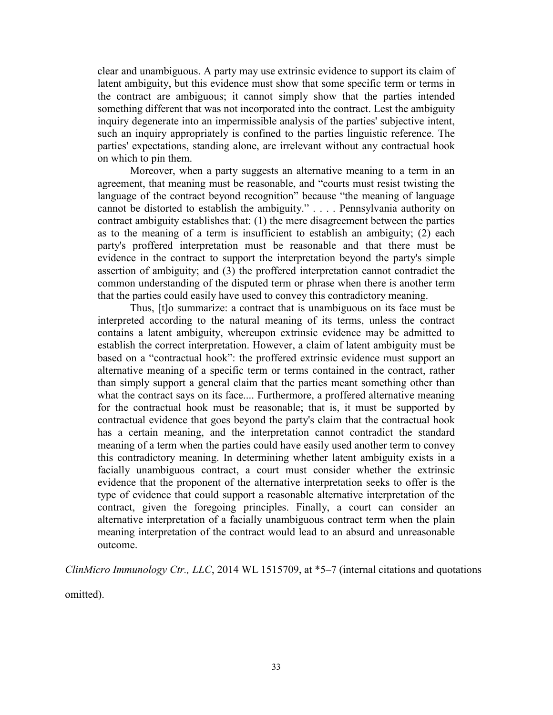clear and unambiguous. A party may use extrinsic evidence to support its claim of latent ambiguity, but this evidence must show that some specific term or terms in the contract are ambiguous; it cannot simply show that the parties intended something different that was not incorporated into the contract. Lest the ambiguity inquiry degenerate into an impermissible analysis of the parties' subjective intent, such an inquiry appropriately is confined to the parties linguistic reference. The parties' expectations, standing alone, are irrelevant without any contractual hook on which to pin them.

Moreover, when a party suggests an alternative meaning to a term in an agreement, that meaning must be reasonable, and "courts must resist twisting the language of the contract beyond recognition" because "the meaning of language cannot be distorted to establish the ambiguity." . . . . Pennsylvania authority on contract ambiguity establishes that: (1) the mere disagreement between the parties as to the meaning of a term is insufficient to establish an ambiguity; (2) each party's proffered interpretation must be reasonable and that there must be evidence in the contract to support the interpretation beyond the party's simple assertion of ambiguity; and (3) the proffered interpretation cannot contradict the common understanding of the disputed term or phrase when there is another term that the parties could easily have used to convey this contradictory meaning.

Thus, [t]o summarize: a contract that is unambiguous on its face must be interpreted according to the natural meaning of its terms, unless the contract contains a latent ambiguity, whereupon extrinsic evidence may be admitted to establish the correct interpretation. However, a claim of latent ambiguity must be based on a "contractual hook": the proffered extrinsic evidence must support an alternative meaning of a specific term or terms contained in the contract, rather than simply support a general claim that the parties meant something other than what the contract says on its face.... Furthermore, a proffered alternative meaning for the contractual hook must be reasonable; that is, it must be supported by contractual evidence that goes beyond the party's claim that the contractual hook has a certain meaning, and the interpretation cannot contradict the standard meaning of a term when the parties could have easily used another term to convey this contradictory meaning. In determining whether latent ambiguity exists in a facially unambiguous contract, a court must consider whether the extrinsic evidence that the proponent of the alternative interpretation seeks to offer is the type of evidence that could support a reasonable alternative interpretation of the contract, given the foregoing principles. Finally, a court can consider an alternative interpretation of a facially unambiguous contract term when the plain meaning interpretation of the contract would lead to an absurd and unreasonable outcome.

*ClinMicro Immunology Ctr., LLC*, 2014 WL 1515709, at \*5–7 (internal citations and quotations

omitted).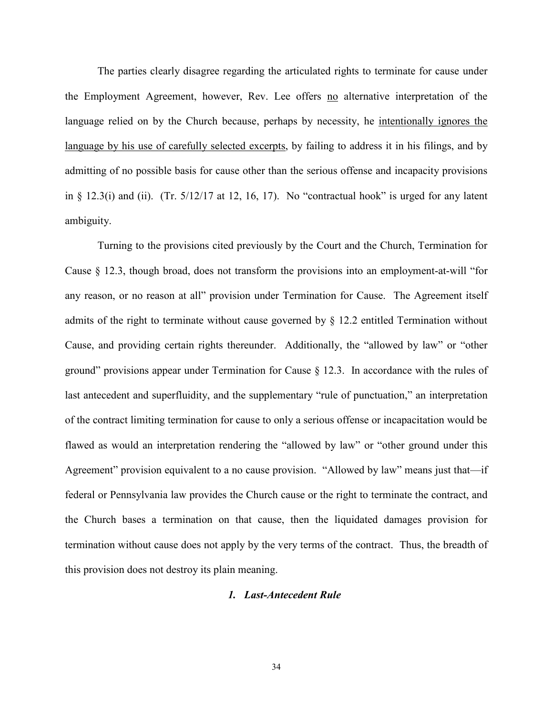The parties clearly disagree regarding the articulated rights to terminate for cause under the Employment Agreement, however, Rev. Lee offers no alternative interpretation of the language relied on by the Church because, perhaps by necessity, he intentionally ignores the language by his use of carefully selected excerpts, by failing to address it in his filings, and by admitting of no possible basis for cause other than the serious offense and incapacity provisions in  $\S$  12.3(i) and (ii). (Tr.  $5/12/17$  at 12, 16, 17). No "contractual hook" is urged for any latent ambiguity.

Turning to the provisions cited previously by the Court and the Church, Termination for Cause § 12.3, though broad, does not transform the provisions into an employment-at-will "for any reason, or no reason at all" provision under Termination for Cause. The Agreement itself admits of the right to terminate without cause governed by § 12.2 entitled Termination without Cause, and providing certain rights thereunder. Additionally, the "allowed by law" or "other ground" provisions appear under Termination for Cause § 12.3. In accordance with the rules of last antecedent and superfluidity, and the supplementary "rule of punctuation," an interpretation of the contract limiting termination for cause to only a serious offense or incapacitation would be flawed as would an interpretation rendering the "allowed by law" or "other ground under this Agreement" provision equivalent to a no cause provision. "Allowed by law" means just that—if federal or Pennsylvania law provides the Church cause or the right to terminate the contract, and the Church bases a termination on that cause, then the liquidated damages provision for termination without cause does not apply by the very terms of the contract. Thus, the breadth of this provision does not destroy its plain meaning.

#### *1. Last-Antecedent Rule*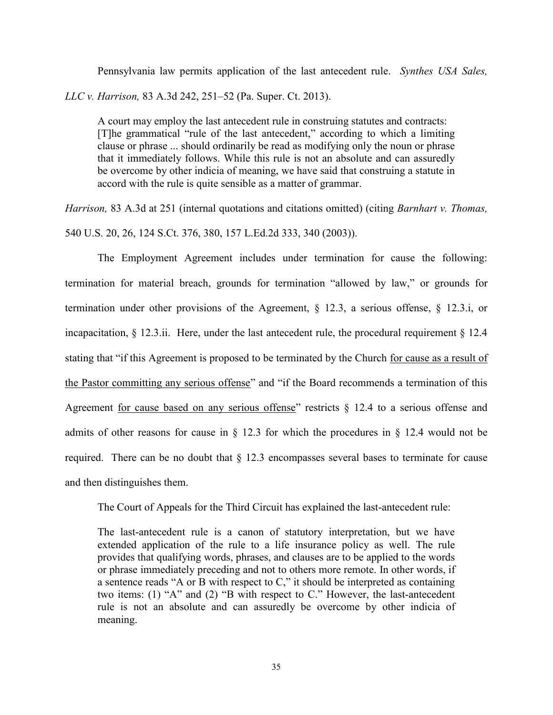Pennsylvania law permits application of the last antecedent rule. *Synthes USA Sales, LLC v. Harrison,* 83 A.3d 242, 251–52 (Pa. Super. Ct. 2013).

A court may employ the last antecedent rule in construing statutes and contracts: [T]he grammatical "rule of the last antecedent," according to which a limiting clause or phrase ... should ordinarily be read as modifying only the noun or phrase that it immediately follows. While this rule is not an absolute and can assuredly be overcome by other indicia of meaning, we have said that construing a statute in accord with the rule is quite sensible as a matter of grammar.

*Harrison,* 83 A.3d at 251 (internal quotations and citations omitted) (citing *Barnhart v. Thomas,* 540 U.S. 20, 26, 124 S.Ct. 376, 380, 157 L.Ed.2d 333, 340 (2003)).

The Employment Agreement includes under termination for cause the following: termination for material breach, grounds for termination "allowed by law," or grounds for termination under other provisions of the Agreement, § 12.3, a serious offense, § 12.3.i, or incapacitation,  $\S$  12.3.ii. Here, under the last antecedent rule, the procedural requirement  $\S$  12.4 stating that "if this Agreement is proposed to be terminated by the Church for cause as a result of the Pastor committing any serious offense" and "if the Board recommends a termination of this Agreement for cause based on any serious offense" restricts  $\S$  12.4 to a serious offense and admits of other reasons for cause in § 12.3 for which the procedures in § 12.4 would not be required. There can be no doubt that § 12.3 encompasses several bases to terminate for cause and then distinguishes them.

The Court of Appeals for the Third Circuit has explained the last-antecedent rule:

The last-antecedent rule is a canon of statutory interpretation, but we have extended application of the rule to a life insurance policy as well. The rule provides that qualifying words, phrases, and clauses are to be applied to the words or phrase immediately preceding and not to others more remote. In other words, if a sentence reads "A or B with respect to C," it should be interpreted as containing two items: (1) "A" and (2) "B with respect to C." However, the last-antecedent rule is not an absolute and can assuredly be overcome by other indicia of meaning.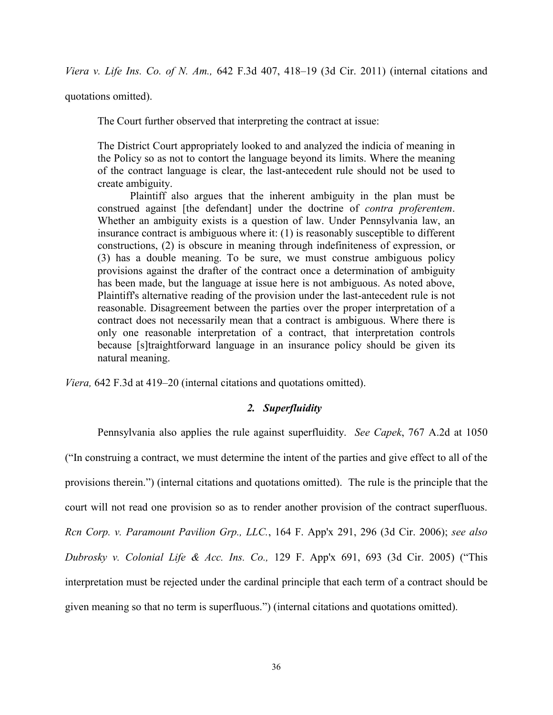*Viera v. Life Ins. Co. of N. Am.,* 642 F.3d 407, 418–19 (3d Cir. 2011) (internal citations and

quotations omitted).

The Court further observed that interpreting the contract at issue:

The District Court appropriately looked to and analyzed the indicia of meaning in the Policy so as not to contort the language beyond its limits. Where the meaning of the contract language is clear, the last-antecedent rule should not be used to create ambiguity.

Plaintiff also argues that the inherent ambiguity in the plan must be construed against [the defendant] under the doctrine of *contra proferentem*. Whether an ambiguity exists is a question of law. Under Pennsylvania law, an insurance contract is ambiguous where it: (1) is reasonably susceptible to different constructions, (2) is obscure in meaning through indefiniteness of expression, or (3) has a double meaning. To be sure, we must construe ambiguous policy provisions against the drafter of the contract once a determination of ambiguity has been made, but the language at issue here is not ambiguous. As noted above, Plaintiff's alternative reading of the provision under the last-antecedent rule is not reasonable. Disagreement between the parties over the proper interpretation of a contract does not necessarily mean that a contract is ambiguous. Where there is only one reasonable interpretation of a contract, that interpretation controls because [s]traightforward language in an insurance policy should be given its natural meaning.

*Viera,* 642 F.3d at 419–20 (internal citations and quotations omitted).

# *2. Superfluidity*

Pennsylvania also applies the rule against superfluidity. *See Capek*, 767 A.2d at 1050 ("In construing a contract, we must determine the intent of the parties and give effect to all of the provisions therein.") (internal citations and quotations omitted). The rule is the principle that the court will not read one provision so as to render another provision of the contract superfluous. *Rcn Corp. v. Paramount Pavilion Grp., LLC.*, 164 F. App'x 291, 296 (3d Cir. 2006); *see also Dubrosky v. Colonial Life & Acc. Ins. Co.,* 129 F. App'x 691, 693 (3d Cir. 2005) ("This interpretation must be rejected under the cardinal principle that each term of a contract should be given meaning so that no term is superfluous.") (internal citations and quotations omitted).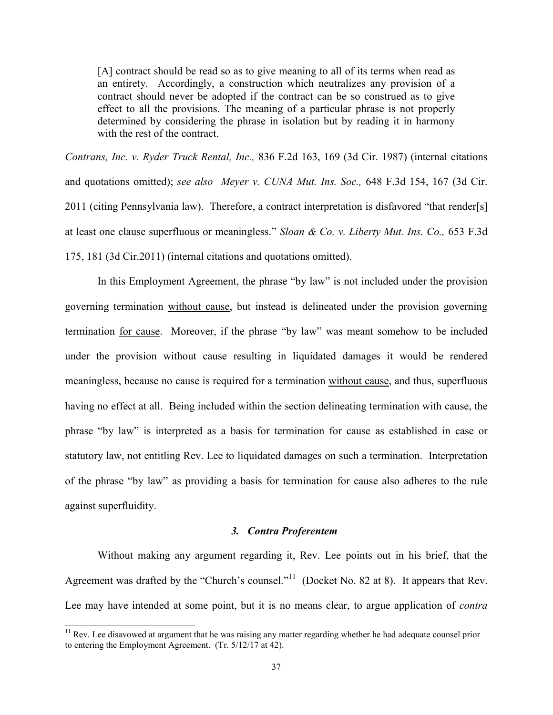[A] contract should be read so as to give meaning to all of its terms when read as an entirety. Accordingly, a construction which neutralizes any provision of a contract should never be adopted if the contract can be so construed as to give effect to all the provisions. The meaning of a particular phrase is not properly determined by considering the phrase in isolation but by reading it in harmony with the rest of the contract.

*Contrans, Inc. v. Ryder Truck Rental, Inc.,* 836 F.2d 163, 169 (3d Cir. 1987) (internal citations and quotations omitted); *see also Meyer v. CUNA Mut. Ins. Soc.,* 648 F.3d 154, 167 (3d Cir. 2011 (citing Pennsylvania law). Therefore, a contract interpretation is disfavored "that render[s] at least one clause superfluous or meaningless." *Sloan & Co. v. Liberty Mut. Ins. Co.,* 653 F.3d 175, 181 (3d Cir.2011) (internal citations and quotations omitted).

In this Employment Agreement, the phrase "by law" is not included under the provision governing termination without cause, but instead is delineated under the provision governing termination for cause. Moreover, if the phrase "by law" was meant somehow to be included under the provision without cause resulting in liquidated damages it would be rendered meaningless, because no cause is required for a termination without cause, and thus, superfluous having no effect at all. Being included within the section delineating termination with cause, the phrase "by law" is interpreted as a basis for termination for cause as established in case or statutory law, not entitling Rev. Lee to liquidated damages on such a termination. Interpretation of the phrase "by law" as providing a basis for termination for cause also adheres to the rule against superfluidity.

#### *3. Contra Proferentem*

Without making any argument regarding it, Rev. Lee points out in his brief, that the Agreement was drafted by the "Church's counsel."<sup>11</sup> (Docket No. 82 at 8). It appears that Rev. Lee may have intended at some point, but it is no means clear, to argue application of *contra* 

 $\overline{a}$ 

 $11$  Rev. Lee disavowed at argument that he was raising any matter regarding whether he had adequate counsel prior to entering the Employment Agreement. (Tr. 5/12/17 at 42).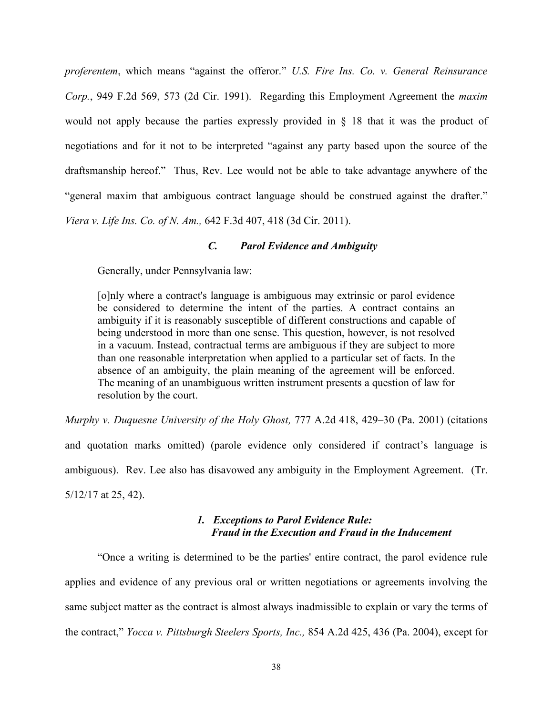*proferentem*, which means "against the offeror." *U.S. Fire Ins. Co. v. General Reinsurance Corp.*, 949 F.2d 569, 573 (2d Cir. 1991). Regarding this Employment Agreement the *maxim* would not apply because the parties expressly provided in § 18 that it was the product of negotiations and for it not to be interpreted "against any party based upon the source of the draftsmanship hereof." Thus, Rev. Lee would not be able to take advantage anywhere of the "general maxim that ambiguous contract language should be construed against the drafter." *Viera v. Life Ins. Co. of N. Am.,* 642 F.3d 407, 418 (3d Cir. 2011).

### *C. Parol Evidence and Ambiguity*

Generally, under Pennsylvania law:

[o]nly where a contract's language is ambiguous may extrinsic or parol evidence be considered to determine the intent of the parties. A contract contains an ambiguity if it is reasonably susceptible of different constructions and capable of being understood in more than one sense. This question, however, is not resolved in a vacuum. Instead, contractual terms are ambiguous if they are subject to more than one reasonable interpretation when applied to a particular set of facts. In the absence of an ambiguity, the plain meaning of the agreement will be enforced. The meaning of an unambiguous written instrument presents a question of law for resolution by the court.

*Murphy v. Duquesne University of the Holy Ghost,* 777 A.2d 418, 429–30 (Pa. 2001) (citations and quotation marks omitted) (parole evidence only considered if contract's language is ambiguous). Rev. Lee also has disavowed any ambiguity in the Employment Agreement. (Tr. 5/12/17 at 25, 42).

# *1. Exceptions to Parol Evidence Rule: Fraud in the Execution and Fraud in the Inducement*

"Once a writing is determined to be the parties' entire contract, the parol evidence rule applies and evidence of any previous oral or written negotiations or agreements involving the same subject matter as the contract is almost always inadmissible to explain or vary the terms of the contract," *Yocca v. Pittsburgh Steelers Sports, Inc.,* 854 A.2d 425, 436 (Pa. 2004), except for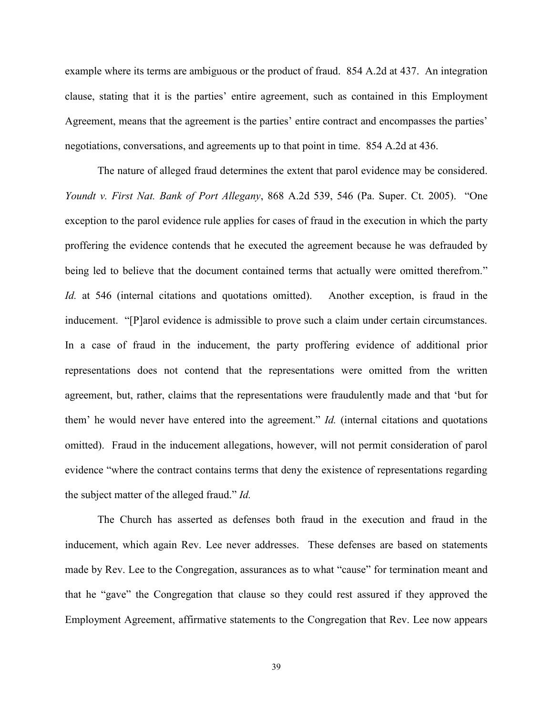example where its terms are ambiguous or the product of fraud. 854 A.2d at 437. An integration clause, stating that it is the parties' entire agreement, such as contained in this Employment Agreement, means that the agreement is the parties' entire contract and encompasses the parties' negotiations, conversations, and agreements up to that point in time. 854 A.2d at 436.

The nature of alleged fraud determines the extent that parol evidence may be considered. *Youndt v. First Nat. Bank of Port Allegany*, 868 A.2d 539, 546 (Pa. Super. Ct. 2005). "One exception to the parol evidence rule applies for cases of fraud in the execution in which the party proffering the evidence contends that he executed the agreement because he was defrauded by being led to believe that the document contained terms that actually were omitted therefrom." *Id.* at 546 (internal citations and quotations omitted). Another exception, is fraud in the inducement. "[P]arol evidence is admissible to prove such a claim under certain circumstances. In a case of fraud in the inducement, the party proffering evidence of additional prior representations does not contend that the representations were omitted from the written agreement, but, rather, claims that the representations were fraudulently made and that 'but for them' he would never have entered into the agreement." *Id.* (internal citations and quotations omitted). Fraud in the inducement allegations, however, will not permit consideration of parol evidence "where the contract contains terms that deny the existence of representations regarding the subject matter of the alleged fraud." *Id.*

The Church has asserted as defenses both fraud in the execution and fraud in the inducement, which again Rev. Lee never addresses. These defenses are based on statements made by Rev. Lee to the Congregation, assurances as to what "cause" for termination meant and that he "gave" the Congregation that clause so they could rest assured if they approved the Employment Agreement, affirmative statements to the Congregation that Rev. Lee now appears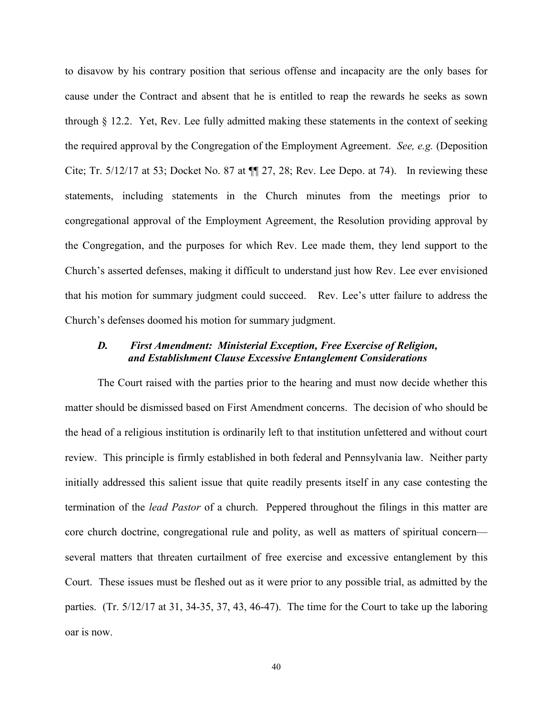to disavow by his contrary position that serious offense and incapacity are the only bases for cause under the Contract and absent that he is entitled to reap the rewards he seeks as sown through § 12.2. Yet, Rev. Lee fully admitted making these statements in the context of seeking the required approval by the Congregation of the Employment Agreement. *See, e.g.* (Deposition Cite; Tr.  $5/12/17$  at 53; Docket No. 87 at  $\P$  27, 28; Rev. Lee Depo. at 74). In reviewing these statements, including statements in the Church minutes from the meetings prior to congregational approval of the Employment Agreement, the Resolution providing approval by the Congregation, and the purposes for which Rev. Lee made them, they lend support to the Church's asserted defenses, making it difficult to understand just how Rev. Lee ever envisioned that his motion for summary judgment could succeed. Rev. Lee's utter failure to address the Church's defenses doomed his motion for summary judgment.

### *D. First Amendment: Ministerial Exception, Free Exercise of Religion, and Establishment Clause Excessive Entanglement Considerations*

The Court raised with the parties prior to the hearing and must now decide whether this matter should be dismissed based on First Amendment concerns. The decision of who should be the head of a religious institution is ordinarily left to that institution unfettered and without court review. This principle is firmly established in both federal and Pennsylvania law. Neither party initially addressed this salient issue that quite readily presents itself in any case contesting the termination of the *lead Pastor* of a church. Peppered throughout the filings in this matter are core church doctrine, congregational rule and polity, as well as matters of spiritual concern several matters that threaten curtailment of free exercise and excessive entanglement by this Court. These issues must be fleshed out as it were prior to any possible trial, as admitted by the parties. (Tr. 5/12/17 at 31, 34-35, 37, 43, 46-47). The time for the Court to take up the laboring oar is now.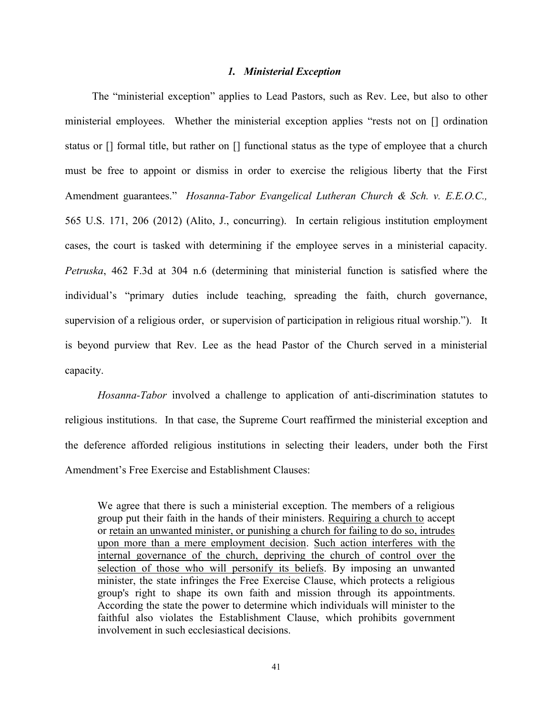#### *1. Ministerial Exception*

 The "ministerial exception" applies to Lead Pastors, such as Rev. Lee, but also to other ministerial employees. Whether the ministerial exception applies "rests not on [] ordination status or [] formal title, but rather on [] functional status as the type of employee that a church must be free to appoint or dismiss in order to exercise the religious liberty that the First Amendment guarantees." *Hosanna-Tabor Evangelical Lutheran Church & Sch. v. E.E.O.C.,* 565 U.S. 171, 206 (2012) (Alito, J., concurring). In certain religious institution employment cases, the court is tasked with determining if the employee serves in a ministerial capacity. *Petruska*, 462 F.3d at 304 n.6 (determining that ministerial function is satisfied where the individual's "primary duties include teaching, spreading the faith, church governance, supervision of a religious order, or supervision of participation in religious ritual worship."). It is beyond purview that Rev. Lee as the head Pastor of the Church served in a ministerial capacity.

*Hosanna-Tabor* involved a challenge to application of anti-discrimination statutes to religious institutions. In that case, the Supreme Court reaffirmed the ministerial exception and the deference afforded religious institutions in selecting their leaders, under both the First Amendment's Free Exercise and Establishment Clauses:

We agree that there is such a ministerial exception. The members of a religious group put their faith in the hands of their ministers. Requiring a church to accept or retain an unwanted minister, or punishing a church for failing to do so, intrudes upon more than a mere employment decision. Such action interferes with the internal governance of the church, depriving the church of control over the selection of those who will personify its beliefs. By imposing an unwanted minister, the state infringes the Free Exercise Clause, which protects a religious group's right to shape its own faith and mission through its appointments. According the state the power to determine which individuals will minister to the faithful also violates the Establishment Clause, which prohibits government involvement in such ecclesiastical decisions.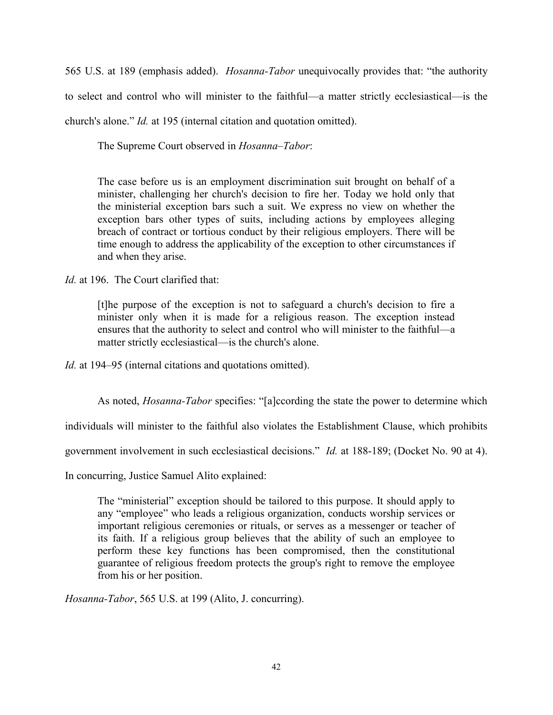565 U.S. at 189 (emphasis added). *Hosanna-Tabor* unequivocally provides that: "the authority to select and control who will minister to the faithful—a matter strictly ecclesiastical—is the church's alone." *Id.* at 195 (internal citation and quotation omitted).

The Supreme Court observed in *Hosanna–Tabor*:

The case before us is an employment discrimination suit brought on behalf of a minister, challenging her church's decision to fire her. Today we hold only that the ministerial exception bars such a suit. We express no view on whether the exception bars other types of suits, including actions by employees alleging breach of contract or tortious conduct by their religious employers. There will be time enough to address the applicability of the exception to other circumstances if and when they arise.

*Id.* at 196. The Court clarified that:

[t]he purpose of the exception is not to safeguard a church's decision to fire a minister only when it is made for a religious reason. The exception instead ensures that the authority to select and control who will minister to the faithful—a matter strictly ecclesiastical—is the church's alone.

*Id.* at 194–95 (internal citations and quotations omitted).

As noted, *Hosanna-Tabor* specifies: "[a]ccording the state the power to determine which

individuals will minister to the faithful also violates the Establishment Clause, which prohibits

government involvement in such ecclesiastical decisions." *Id.* at 188-189; (Docket No. 90 at 4).

In concurring, Justice Samuel Alito explained:

The "ministerial" exception should be tailored to this purpose. It should apply to any "employee" who leads a religious organization, conducts worship services or important religious ceremonies or rituals, or serves as a messenger or teacher of its faith. If a religious group believes that the ability of such an employee to perform these key functions has been compromised, then the constitutional guarantee of religious freedom protects the group's right to remove the employee from his or her position.

*Hosanna-Tabor*, 565 U.S. at 199 (Alito, J. concurring).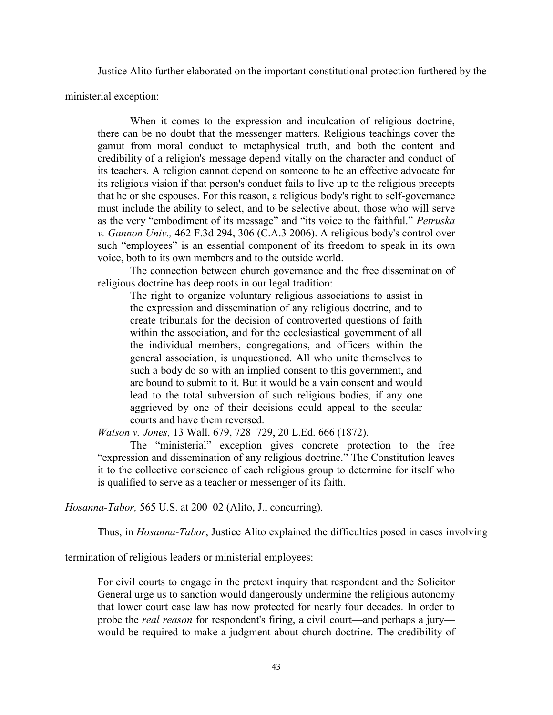Justice Alito further elaborated on the important constitutional protection furthered by the

ministerial exception:

When it comes to the expression and inculcation of religious doctrine, there can be no doubt that the messenger matters. Religious teachings cover the gamut from moral conduct to metaphysical truth, and both the content and credibility of a religion's message depend vitally on the character and conduct of its teachers. A religion cannot depend on someone to be an effective advocate for its religious vision if that person's conduct fails to live up to the religious precepts that he or she espouses. For this reason, a religious body's right to self-governance must include the ability to select, and to be selective about, those who will serve as the very "embodiment of its message" and "its voice to the faithful." *Petruska v. Gannon Univ.,* 462 F.3d 294, 306 (C.A.3 2006). A religious body's control over such "employees" is an essential component of its freedom to speak in its own voice, both to its own members and to the outside world.

The connection between church governance and the free dissemination of religious doctrine has deep roots in our legal tradition:

The right to organize voluntary religious associations to assist in the expression and dissemination of any religious doctrine, and to create tribunals for the decision of controverted questions of faith within the association, and for the ecclesiastical government of all the individual members, congregations, and officers within the general association, is unquestioned. All who unite themselves to such a body do so with an implied consent to this government, and are bound to submit to it. But it would be a vain consent and would lead to the total subversion of such religious bodies, if any one aggrieved by one of their decisions could appeal to the secular courts and have them reversed.

*Watson v. Jones,* 13 Wall. 679, 728–729, 20 L.Ed. 666 (1872).

The "ministerial" exception gives concrete protection to the free "expression and dissemination of any religious doctrine." The Constitution leaves it to the collective conscience of each religious group to determine for itself who is qualified to serve as a teacher or messenger of its faith.

*Hosanna-Tabor,* 565 U.S. at 200–02 (Alito, J., concurring).

Thus, in *Hosanna-Tabor*, Justice Alito explained the difficulties posed in cases involving

termination of religious leaders or ministerial employees:

For civil courts to engage in the pretext inquiry that respondent and the Solicitor General urge us to sanction would dangerously undermine the religious autonomy that lower court case law has now protected for nearly four decades. In order to probe the *real reason* for respondent's firing, a civil court—and perhaps a jury would be required to make a judgment about church doctrine. The credibility of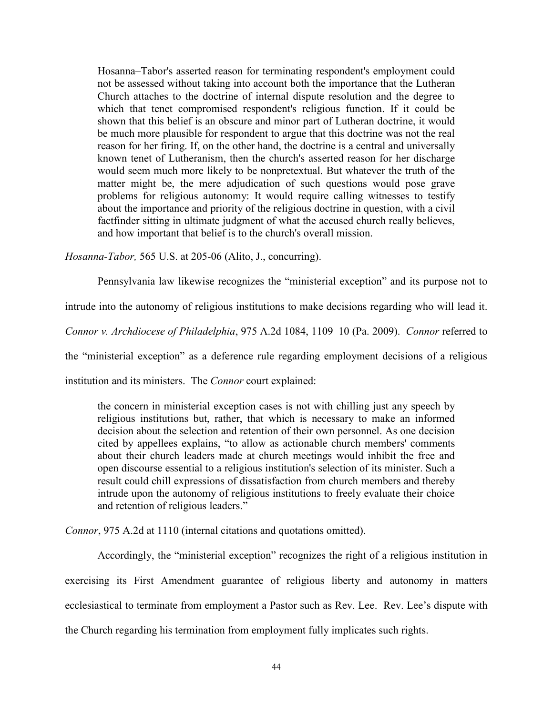Hosanna–Tabor's asserted reason for terminating respondent's employment could not be assessed without taking into account both the importance that the Lutheran Church attaches to the doctrine of internal dispute resolution and the degree to which that tenet compromised respondent's religious function. If it could be shown that this belief is an obscure and minor part of Lutheran doctrine, it would be much more plausible for respondent to argue that this doctrine was not the real reason for her firing. If, on the other hand, the doctrine is a central and universally known tenet of Lutheranism, then the church's asserted reason for her discharge would seem much more likely to be nonpretextual. But whatever the truth of the matter might be, the mere adjudication of such questions would pose grave problems for religious autonomy: It would require calling witnesses to testify about the importance and priority of the religious doctrine in question, with a civil factfinder sitting in ultimate judgment of what the accused church really believes, and how important that belief is to the church's overall mission.

*Hosanna-Tabor,* 565 U.S. at 205-06 (Alito, J., concurring).

Pennsylvania law likewise recognizes the "ministerial exception" and its purpose not to

intrude into the autonomy of religious institutions to make decisions regarding who will lead it.

*Connor v. Archdiocese of Philadelphia*, 975 A.2d 1084, 1109–10 (Pa. 2009). *Connor* referred to

the "ministerial exception" as a deference rule regarding employment decisions of a religious

institution and its ministers. The *Connor* court explained:

the concern in ministerial exception cases is not with chilling just any speech by religious institutions but, rather, that which is necessary to make an informed decision about the selection and retention of their own personnel. As one decision cited by appellees explains, "to allow as actionable church members' comments about their church leaders made at church meetings would inhibit the free and open discourse essential to a religious institution's selection of its minister. Such a result could chill expressions of dissatisfaction from church members and thereby intrude upon the autonomy of religious institutions to freely evaluate their choice and retention of religious leaders."

*Connor*, 975 A.2d at 1110 (internal citations and quotations omitted).

Accordingly, the "ministerial exception" recognizes the right of a religious institution in exercising its First Amendment guarantee of religious liberty and autonomy in matters ecclesiastical to terminate from employment a Pastor such as Rev. Lee. Rev. Lee's dispute with the Church regarding his termination from employment fully implicates such rights.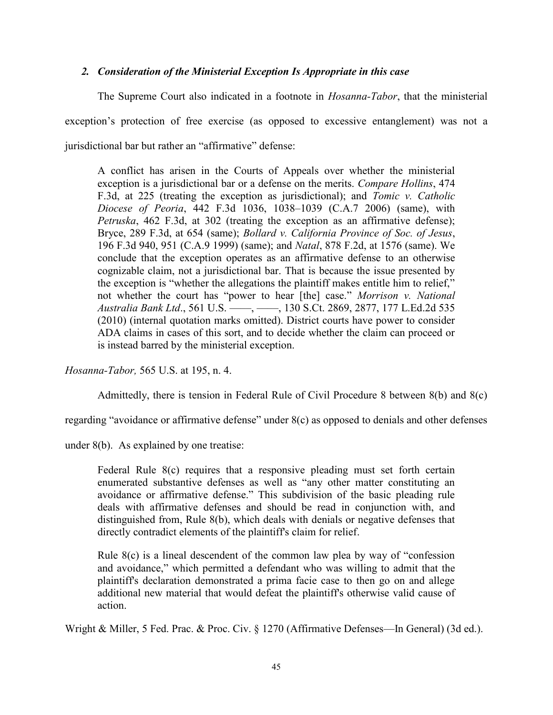# *2. Consideration of the Ministerial Exception Is Appropriate in this case*

The Supreme Court also indicated in a footnote in *Hosanna-Tabor*, that the ministerial exception's protection of free exercise (as opposed to excessive entanglement) was not a jurisdictional bar but rather an "affirmative" defense:

A conflict has arisen in the Courts of Appeals over whether the ministerial exception is a jurisdictional bar or a defense on the merits. *Compare Hollins*, 474 F.3d, at 225 (treating the exception as jurisdictional); and *Tomic v. Catholic Diocese of Peoria*, 442 F.3d 1036, 1038–1039 (C.A.7 2006) (same), with *Petruska*, 462 F.3d, at 302 (treating the exception as an affirmative defense); Bryce, 289 F.3d, at 654 (same); *Bollard v. California Province of Soc. of Jesus*, 196 F.3d 940, 951 (C.A.9 1999) (same); and *Natal*, 878 F.2d, at 1576 (same). We conclude that the exception operates as an affirmative defense to an otherwise cognizable claim, not a jurisdictional bar. That is because the issue presented by the exception is "whether the allegations the plaintiff makes entitle him to relief," not whether the court has "power to hear [the] case." *Morrison v. National Australia Bank Ltd*., 561 U.S. ––––, ––––, 130 S.Ct. 2869, 2877, 177 L.Ed.2d 535 (2010) (internal quotation marks omitted). District courts have power to consider ADA claims in cases of this sort, and to decide whether the claim can proceed or is instead barred by the ministerial exception.

*Hosanna-Tabor,* 565 U.S. at 195, n. 4.

Admittedly, there is tension in Federal Rule of Civil Procedure 8 between 8(b) and 8(c)

regarding "avoidance or affirmative defense" under 8(c) as opposed to denials and other defenses

under 8(b). As explained by one treatise:

Federal Rule 8(c) requires that a responsive pleading must set forth certain enumerated substantive defenses as well as "any other matter constituting an avoidance or affirmative defense." This subdivision of the basic pleading rule deals with affirmative defenses and should be read in conjunction with, and distinguished from, Rule 8(b), which deals with denials or negative defenses that directly contradict elements of the plaintiff's claim for relief.

Rule 8(c) is a lineal descendent of the common law plea by way of "confession and avoidance," which permitted a defendant who was willing to admit that the plaintiff's declaration demonstrated a prima facie case to then go on and allege additional new material that would defeat the plaintiff's otherwise valid cause of action.

Wright & Miller, 5 Fed. Prac. & Proc. Civ. § 1270 (Affirmative Defenses—In General) (3d ed.).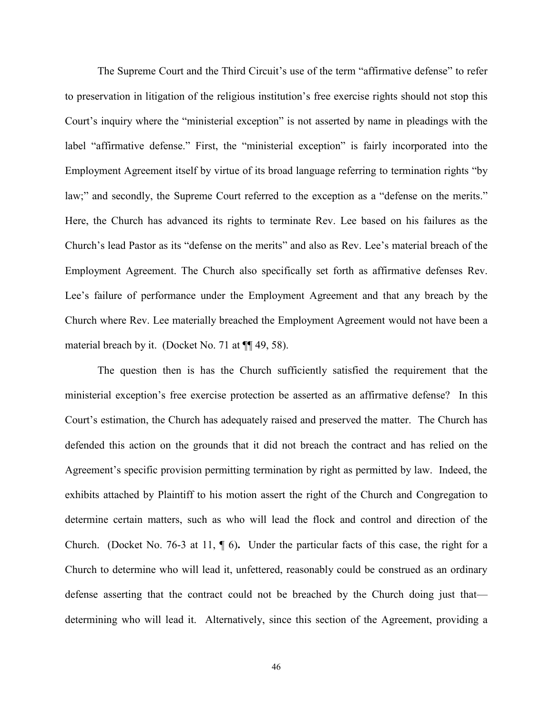The Supreme Court and the Third Circuit's use of the term "affirmative defense" to refer to preservation in litigation of the religious institution's free exercise rights should not stop this Court's inquiry where the "ministerial exception" is not asserted by name in pleadings with the label "affirmative defense." First, the "ministerial exception" is fairly incorporated into the Employment Agreement itself by virtue of its broad language referring to termination rights "by law;" and secondly, the Supreme Court referred to the exception as a "defense on the merits." Here, the Church has advanced its rights to terminate Rev. Lee based on his failures as the Church's lead Pastor as its "defense on the merits" and also as Rev. Lee's material breach of the Employment Agreement. The Church also specifically set forth as affirmative defenses Rev. Lee's failure of performance under the Employment Agreement and that any breach by the Church where Rev. Lee materially breached the Employment Agreement would not have been a material breach by it. (Docket No. 71 at  $\P$  49, 58).

The question then is has the Church sufficiently satisfied the requirement that the ministerial exception's free exercise protection be asserted as an affirmative defense? In this Court's estimation, the Church has adequately raised and preserved the matter. The Church has defended this action on the grounds that it did not breach the contract and has relied on the Agreement's specific provision permitting termination by right as permitted by law. Indeed, the exhibits attached by Plaintiff to his motion assert the right of the Church and Congregation to determine certain matters, such as who will lead the flock and control and direction of the Church. (Docket No. 76-3 at 11, ¶ 6)**.** Under the particular facts of this case, the right for a Church to determine who will lead it, unfettered, reasonably could be construed as an ordinary defense asserting that the contract could not be breached by the Church doing just that determining who will lead it. Alternatively, since this section of the Agreement, providing a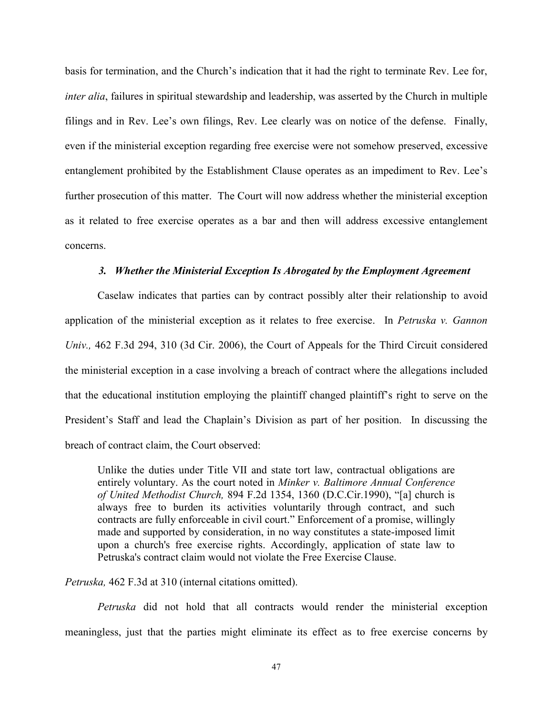basis for termination, and the Church's indication that it had the right to terminate Rev. Lee for, *inter alia*, failures in spiritual stewardship and leadership, was asserted by the Church in multiple filings and in Rev. Lee's own filings, Rev. Lee clearly was on notice of the defense. Finally, even if the ministerial exception regarding free exercise were not somehow preserved, excessive entanglement prohibited by the Establishment Clause operates as an impediment to Rev. Lee's further prosecution of this matter. The Court will now address whether the ministerial exception as it related to free exercise operates as a bar and then will address excessive entanglement concerns.

### *3. Whether the Ministerial Exception Is Abrogated by the Employment Agreement*

Caselaw indicates that parties can by contract possibly alter their relationship to avoid application of the ministerial exception as it relates to free exercise.In *Petruska v. Gannon Univ.,* 462 F.3d 294, 310 (3d Cir. 2006), the Court of Appeals for the Third Circuit considered the ministerial exception in a case involving a breach of contract where the allegations included that the educational institution employing the plaintiff changed plaintiff's right to serve on the President's Staff and lead the Chaplain's Division as part of her position. In discussing the breach of contract claim, the Court observed:

Unlike the duties under Title VII and state tort law, contractual obligations are entirely voluntary. As the court noted in *Minker v. Baltimore Annual Conference of United Methodist Church,* 894 F.2d 1354, 1360 (D.C.Cir.1990), "[a] church is always free to burden its activities voluntarily through contract, and such contracts are fully enforceable in civil court." Enforcement of a promise, willingly made and supported by consideration, in no way constitutes a state-imposed limit upon a church's free exercise rights. Accordingly, application of state law to Petruska's contract claim would not violate the Free Exercise Clause.

*Petruska,* 462 F.3d at 310 (internal citations omitted).

*Petruska* did not hold that all contracts would render the ministerial exception meaningless, just that the parties might eliminate its effect as to free exercise concerns by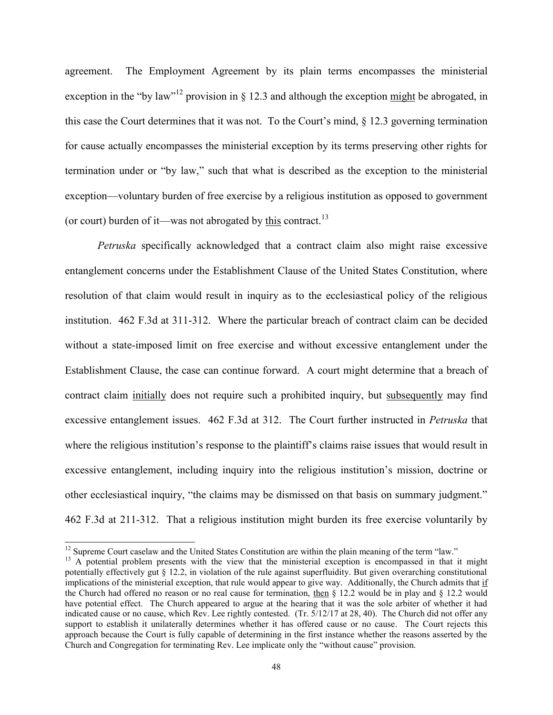agreement. The Employment Agreement by its plain terms encompasses the ministerial exception in the "by law"<sup>12</sup> provision in § 12.3 and although the exception  $\frac{might}{}$  be abrogated, in this case the Court determines that it was not. To the Court's mind,  $\S$  12.3 governing termination for cause actually encompasses the ministerial exception by its terms preserving other rights for termination under or "by law," such that what is described as the exception to the ministerial exception—voluntary burden of free exercise by a religious institution as opposed to government (or court) burden of it—was not abrogated by this contract.<sup>13</sup>

*Petruska* specifically acknowledged that a contract claim also might raise excessive entanglement concerns under the Establishment Clause of the United States Constitution, where resolution of that claim would result in inquiry as to the ecclesiastical policy of the religious institution. 462 F.3d at 311-312. Where the particular breach of contract claim can be decided without a state-imposed limit on free exercise and without excessive entanglement under the Establishment Clause, the case can continue forward. A court might determine that a breach of contract claim initially does not require such a prohibited inquiry, but subsequently may find excessive entanglement issues. 462 F.3d at 312. The Court further instructed in *Petruska* that where the religious institution's response to the plaintiff's claims raise issues that would result in excessive entanglement, including inquiry into the religious institution's mission, doctrine or other ecclesiastical inquiry, "the claims may be dismissed on that basis on summary judgment." 462 F.3d at 211-312. That a religious institution might burden its free exercise voluntarily by

 $\overline{a}$ 

<sup>&</sup>lt;sup>12</sup> Supreme Court caselaw and the United States Constitution are within the plain meaning of the term "law."

<sup>&</sup>lt;sup>13</sup> A potential problem presents with the view that the ministerial exception is encompassed in that it might potentially effectively gut § 12.2, in violation of the rule against superfluidity. But given overarching constitutional implications of the ministerial exception, that rule would appear to give way. Additionally, the Church admits that if the Church had offered no reason or no real cause for termination, then  $\S$  12.2 would be in play and  $\S$  12.2 would have potential effect. The Church appeared to argue at the hearing that it was the sole arbiter of whether it had indicated cause or no cause, which Rev. Lee rightly contested. (Tr. 5/12/17 at 28, 40). The Church did not offer any support to establish it unilaterally determines whether it has offered cause or no cause. The Court rejects this approach because the Court is fully capable of determining in the first instance whether the reasons asserted by the Church and Congregation for terminating Rev. Lee implicate only the "without cause" provision.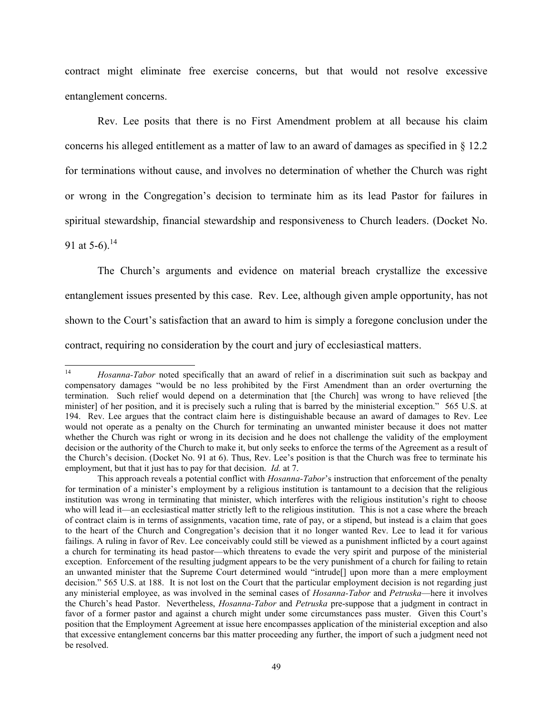contract might eliminate free exercise concerns, but that would not resolve excessive entanglement concerns.

Rev. Lee posits that there is no First Amendment problem at all because his claim concerns his alleged entitlement as a matter of law to an award of damages as specified in § 12.2 for terminations without cause, and involves no determination of whether the Church was right or wrong in the Congregation's decision to terminate him as its lead Pastor for failures in spiritual stewardship, financial stewardship and responsiveness to Church leaders. (Docket No. 91 at 5-6).<sup>14</sup>

The Church's arguments and evidence on material breach crystallize the excessive entanglement issues presented by this case. Rev. Lee, although given ample opportunity, has not shown to the Court's satisfaction that an award to him is simply a foregone conclusion under the contract, requiring no consideration by the court and jury of ecclesiastical matters.

 $14$ <sup>14</sup> *Hosanna-Tabor* noted specifically that an award of relief in a discrimination suit such as backpay and compensatory damages "would be no less prohibited by the First Amendment than an order overturning the termination. Such relief would depend on a determination that [the Church] was wrong to have relieved [the minister] of her position, and it is precisely such a ruling that is barred by the ministerial exception." 565 U.S. at 194. Rev. Lee argues that the contract claim here is distinguishable because an award of damages to Rev. Lee would not operate as a penalty on the Church for terminating an unwanted minister because it does not matter whether the Church was right or wrong in its decision and he does not challenge the validity of the employment decision or the authority of the Church to make it, but only seeks to enforce the terms of the Agreement as a result of the Church's decision. (Docket No. 91 at 6). Thus, Rev. Lee's position is that the Church was free to terminate his employment, but that it just has to pay for that decision. *Id.* at 7.

This approach reveals a potential conflict with *Hosanna-Tabor*'s instruction that enforcement of the penalty for termination of a minister's employment by a religious institution is tantamount to a decision that the religious institution was wrong in terminating that minister, which interferes with the religious institution's right to choose who will lead it—an ecclesiastical matter strictly left to the religious institution. This is not a case where the breach of contract claim is in terms of assignments, vacation time, rate of pay, or a stipend, but instead is a claim that goes to the heart of the Church and Congregation's decision that it no longer wanted Rev. Lee to lead it for various failings. A ruling in favor of Rev. Lee conceivably could still be viewed as a punishment inflicted by a court against a church for terminating its head pastor—which threatens to evade the very spirit and purpose of the ministerial exception. Enforcement of the resulting judgment appears to be the very punishment of a church for failing to retain an unwanted minister that the Supreme Court determined would "intrude[] upon more than a mere employment decision." 565 U.S. at 188. It is not lost on the Court that the particular employment decision is not regarding just any ministerial employee, as was involved in the seminal cases of *Hosanna-Tabor* and *Petruska*—here it involves the Church's head Pastor. Nevertheless, *Hosanna-Tabor* and *Petruska* pre-suppose that a judgment in contract in favor of a former pastor and against a church might under some circumstances pass muster. Given this Court's position that the Employment Agreement at issue here encompasses application of the ministerial exception and also that excessive entanglement concerns bar this matter proceeding any further, the import of such a judgment need not be resolved.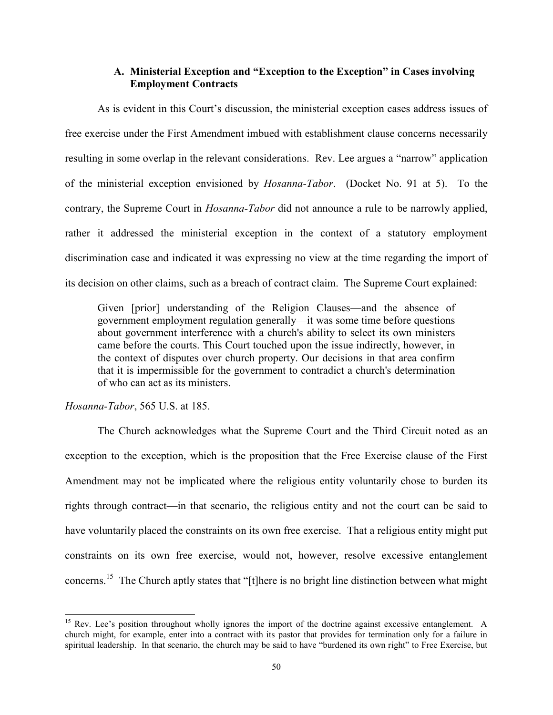### **A. Ministerial Exception and "Exception to the Exception" in Cases involving Employment Contracts**

As is evident in this Court's discussion, the ministerial exception cases address issues of free exercise under the First Amendment imbued with establishment clause concerns necessarily resulting in some overlap in the relevant considerations. Rev. Lee argues a "narrow" application of the ministerial exception envisioned by *Hosanna-Tabor*. (Docket No. 91 at 5). To the contrary, the Supreme Court in *Hosanna-Tabor* did not announce a rule to be narrowly applied, rather it addressed the ministerial exception in the context of a statutory employment discrimination case and indicated it was expressing no view at the time regarding the import of its decision on other claims, such as a breach of contract claim. The Supreme Court explained:

Given [prior] understanding of the Religion Clauses—and the absence of government employment regulation generally—it was some time before questions about government interference with a church's ability to select its own ministers came before the courts. This Court touched upon the issue indirectly, however, in the context of disputes over church property. Our decisions in that area confirm that it is impermissible for the government to contradict a church's determination of who can act as its ministers.

#### *Hosanna-Tabor*, 565 U.S. at 185.

l

The Church acknowledges what the Supreme Court and the Third Circuit noted as an exception to the exception, which is the proposition that the Free Exercise clause of the First Amendment may not be implicated where the religious entity voluntarily chose to burden its rights through contract—in that scenario, the religious entity and not the court can be said to have voluntarily placed the constraints on its own free exercise. That a religious entity might put constraints on its own free exercise, would not, however, resolve excessive entanglement concerns.<sup>15</sup> The Church aptly states that "[t]here is no bright line distinction between what might

<sup>&</sup>lt;sup>15</sup> Rev. Lee's position throughout wholly ignores the import of the doctrine against excessive entanglement. A church might, for example, enter into a contract with its pastor that provides for termination only for a failure in spiritual leadership. In that scenario, the church may be said to have "burdened its own right" to Free Exercise, but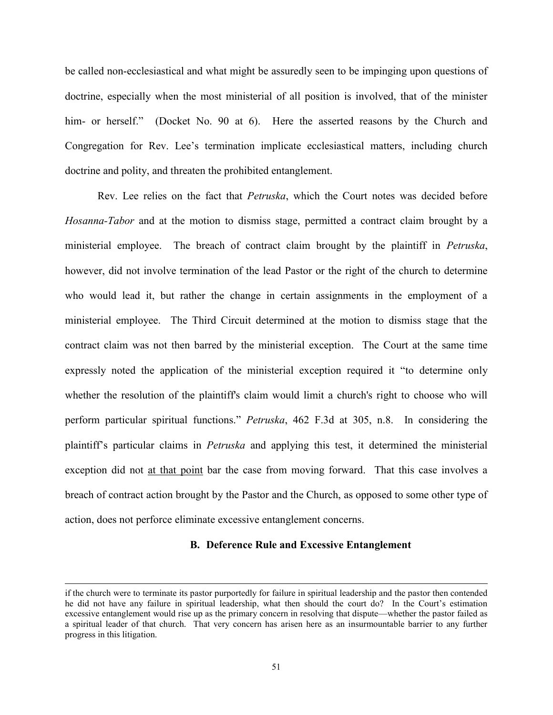be called non-ecclesiastical and what might be assuredly seen to be impinging upon questions of doctrine, especially when the most ministerial of all position is involved, that of the minister him- or herself." (Docket No. 90 at 6). Here the asserted reasons by the Church and Congregation for Rev. Lee's termination implicate ecclesiastical matters, including church doctrine and polity, and threaten the prohibited entanglement.

Rev. Lee relies on the fact that *Petruska*, which the Court notes was decided before *Hosanna-Tabor* and at the motion to dismiss stage, permitted a contract claim brought by a ministerial employee. The breach of contract claim brought by the plaintiff in *Petruska*, however, did not involve termination of the lead Pastor or the right of the church to determine who would lead it, but rather the change in certain assignments in the employment of a ministerial employee. The Third Circuit determined at the motion to dismiss stage that the contract claim was not then barred by the ministerial exception. The Court at the same time expressly noted the application of the ministerial exception required it "to determine only whether the resolution of the plaintiff's claim would limit a church's right to choose who will perform particular spiritual functions." *Petruska*, 462 F.3d at 305, n.8. In considering the plaintiff's particular claims in *Petruska* and applying this test, it determined the ministerial exception did not at that point bar the case from moving forward. That this case involves a breach of contract action brought by the Pastor and the Church, as opposed to some other type of action, does not perforce eliminate excessive entanglement concerns.

### **B. Deference Rule and Excessive Entanglement**

 $\overline{a}$ 

if the church were to terminate its pastor purportedly for failure in spiritual leadership and the pastor then contended he did not have any failure in spiritual leadership, what then should the court do? In the Court's estimation excessive entanglement would rise up as the primary concern in resolving that dispute—whether the pastor failed as a spiritual leader of that church. That very concern has arisen here as an insurmountable barrier to any further progress in this litigation.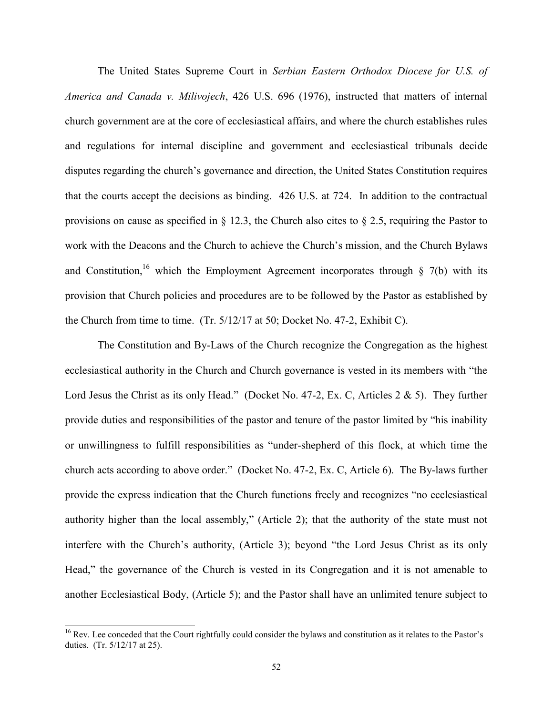The United States Supreme Court in *Serbian Eastern Orthodox Diocese for U.S. of America and Canada v. Milivojech*, 426 U.S. 696 (1976), instructed that matters of internal church government are at the core of ecclesiastical affairs, and where the church establishes rules and regulations for internal discipline and government and ecclesiastical tribunals decide disputes regarding the church's governance and direction, the United States Constitution requires that the courts accept the decisions as binding. 426 U.S. at 724. In addition to the contractual provisions on cause as specified in § 12.3, the Church also cites to § 2.5, requiring the Pastor to work with the Deacons and the Church to achieve the Church's mission, and the Church Bylaws and Constitution,<sup>16</sup> which the Employment Agreement incorporates through  $\S$  7(b) with its provision that Church policies and procedures are to be followed by the Pastor as established by the Church from time to time. (Tr. 5/12/17 at 50; Docket No. 47-2, Exhibit C).

The Constitution and By-Laws of the Church recognize the Congregation as the highest ecclesiastical authority in the Church and Church governance is vested in its members with "the Lord Jesus the Christ as its only Head." (Docket No. 47-2, Ex. C, Articles 2 & 5). They further provide duties and responsibilities of the pastor and tenure of the pastor limited by "his inability or unwillingness to fulfill responsibilities as "under-shepherd of this flock, at which time the church acts according to above order." (Docket No. 47-2, Ex. C, Article 6). The By-laws further provide the express indication that the Church functions freely and recognizes "no ecclesiastical authority higher than the local assembly," (Article 2); that the authority of the state must not interfere with the Church's authority, (Article 3); beyond "the Lord Jesus Christ as its only Head," the governance of the Church is vested in its Congregation and it is not amenable to another Ecclesiastical Body, (Article 5); and the Pastor shall have an unlimited tenure subject to

 $\overline{a}$ 

 $16$  Rev. Lee conceded that the Court rightfully could consider the bylaws and constitution as it relates to the Pastor's duties. (Tr. 5/12/17 at 25).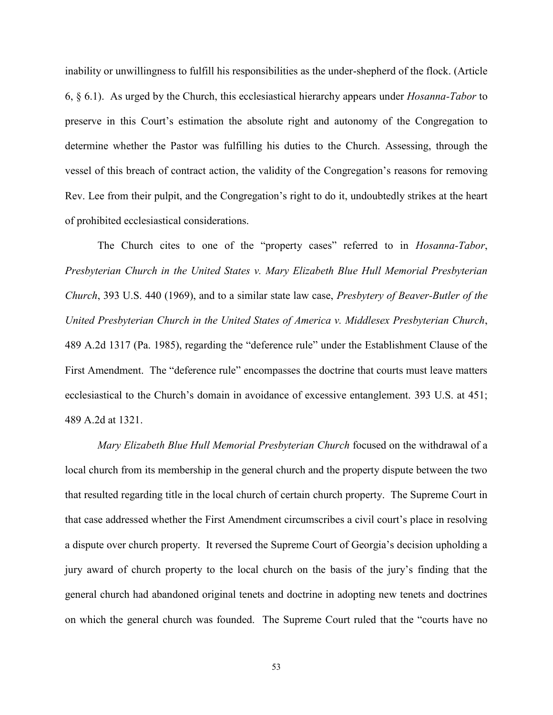inability or unwillingness to fulfill his responsibilities as the under-shepherd of the flock. (Article 6, § 6.1). As urged by the Church, this ecclesiastical hierarchy appears under *Hosanna-Tabor* to preserve in this Court's estimation the absolute right and autonomy of the Congregation to determine whether the Pastor was fulfilling his duties to the Church. Assessing, through the vessel of this breach of contract action, the validity of the Congregation's reasons for removing Rev. Lee from their pulpit, and the Congregation's right to do it, undoubtedly strikes at the heart of prohibited ecclesiastical considerations.

The Church cites to one of the "property cases" referred to in *Hosanna-Tabor*, *Presbyterian Church in the United States v. Mary Elizabeth Blue Hull Memorial Presbyterian Church*, 393 U.S. 440 (1969), and to a similar state law case, *Presbytery of Beaver-Butler of the United Presbyterian Church in the United States of America v. Middlesex Presbyterian Church*, 489 A.2d 1317 (Pa. 1985), regarding the "deference rule" under the Establishment Clause of the First Amendment. The "deference rule" encompasses the doctrine that courts must leave matters ecclesiastical to the Church's domain in avoidance of excessive entanglement. 393 U.S. at 451; 489 A.2d at 1321.

*Mary Elizabeth Blue Hull Memorial Presbyterian Church* focused on the withdrawal of a local church from its membership in the general church and the property dispute between the two that resulted regarding title in the local church of certain church property. The Supreme Court in that case addressed whether the First Amendment circumscribes a civil court's place in resolving a dispute over church property. It reversed the Supreme Court of Georgia's decision upholding a jury award of church property to the local church on the basis of the jury's finding that the general church had abandoned original tenets and doctrine in adopting new tenets and doctrines on which the general church was founded. The Supreme Court ruled that the "courts have no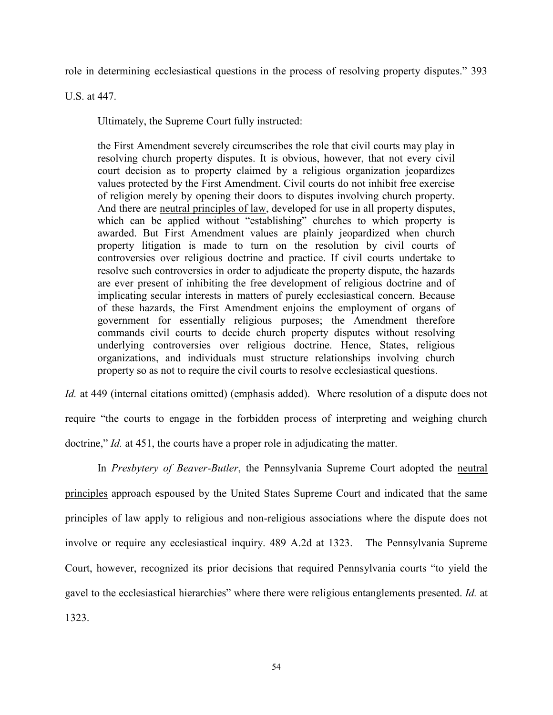role in determining ecclesiastical questions in the process of resolving property disputes." 393

U.S. at 447.

Ultimately, the Supreme Court fully instructed:

the First Amendment severely circumscribes the role that civil courts may play in resolving church property disputes. It is obvious, however, that not every civil court decision as to property claimed by a religious organization jeopardizes values protected by the First Amendment. Civil courts do not inhibit free exercise of religion merely by opening their doors to disputes involving church property. And there are neutral principles of law, developed for use in all property disputes, which can be applied without "establishing" churches to which property is awarded. But First Amendment values are plainly jeopardized when church property litigation is made to turn on the resolution by civil courts of controversies over religious doctrine and practice. If civil courts undertake to resolve such controversies in order to adjudicate the property dispute, the hazards are ever present of inhibiting the free development of religious doctrine and of implicating secular interests in matters of purely ecclesiastical concern. Because of these hazards, the First Amendment enjoins the employment of organs of government for essentially religious purposes; the Amendment therefore commands civil courts to decide church property disputes without resolving underlying controversies over religious doctrine. Hence, States, religious organizations, and individuals must structure relationships involving church property so as not to require the civil courts to resolve ecclesiastical questions.

*Id.* at 449 (internal citations omitted) (emphasis added). Where resolution of a dispute does not require "the courts to engage in the forbidden process of interpreting and weighing church doctrine," *Id.* at 451, the courts have a proper role in adjudicating the matter.

In *Presbytery of Beaver-Butler*, the Pennsylvania Supreme Court adopted the neutral principles approach espoused by the United States Supreme Court and indicated that the same principles of law apply to religious and non-religious associations where the dispute does not involve or require any ecclesiastical inquiry. 489 A.2d at 1323. The Pennsylvania Supreme Court, however, recognized its prior decisions that required Pennsylvania courts "to yield the gavel to the ecclesiastical hierarchies" where there were religious entanglements presented. *Id.* at 1323.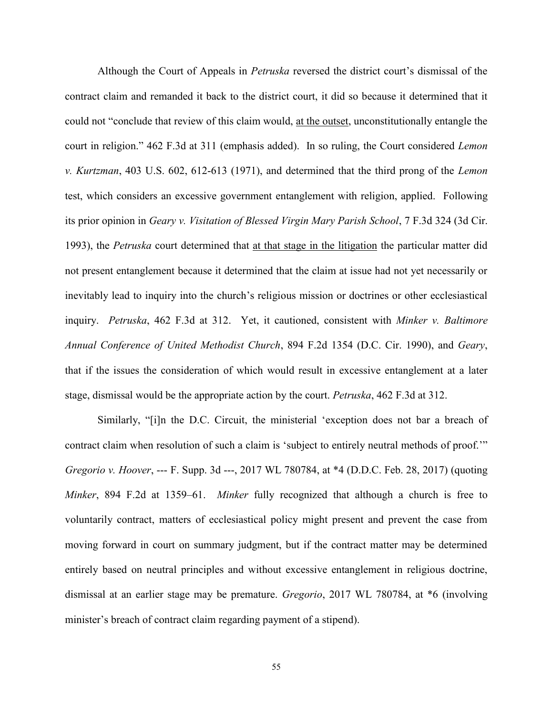Although the Court of Appeals in *Petruska* reversed the district court's dismissal of the contract claim and remanded it back to the district court, it did so because it determined that it could not "conclude that review of this claim would, at the outset, unconstitutionally entangle the court in religion." 462 F.3d at 311 (emphasis added). In so ruling, the Court considered *Lemon v. Kurtzman*, 403 U.S. 602, 612-613 (1971), and determined that the third prong of the *Lemon* test, which considers an excessive government entanglement with religion, applied. Following its prior opinion in *Geary v. Visitation of Blessed Virgin Mary Parish School*, 7 F.3d 324 (3d Cir. 1993), the *Petruska* court determined that at that stage in the litigation the particular matter did not present entanglement because it determined that the claim at issue had not yet necessarily or inevitably lead to inquiry into the church's religious mission or doctrines or other ecclesiastical inquiry. *Petruska*, 462 F.3d at 312. Yet, it cautioned, consistent with *Minker v. Baltimore Annual Conference of United Methodist Church*, 894 F.2d 1354 (D.C. Cir. 1990), and *Geary*, that if the issues the consideration of which would result in excessive entanglement at a later stage, dismissal would be the appropriate action by the court. *Petruska*, 462 F.3d at 312.

Similarly, "[i]n the D.C. Circuit, the ministerial 'exception does not bar a breach of contract claim when resolution of such a claim is 'subject to entirely neutral methods of proof.'" *Gregorio v. Hoover*, --- F. Supp. 3d ---, 2017 WL 780784, at \*4 (D.D.C. Feb. 28, 2017) (quoting *Minker*, 894 F.2d at 1359–61. *Minker* fully recognized that although a church is free to voluntarily contract, matters of ecclesiastical policy might present and prevent the case from moving forward in court on summary judgment, but if the contract matter may be determined entirely based on neutral principles and without excessive entanglement in religious doctrine, dismissal at an earlier stage may be premature. *Gregorio*, 2017 WL 780784, at \*6 (involving minister's breach of contract claim regarding payment of a stipend).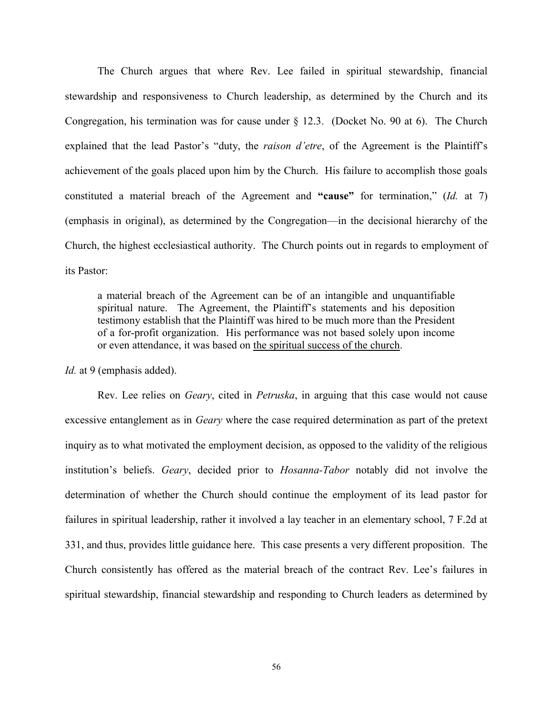The Church argues that where Rev. Lee failed in spiritual stewardship, financial stewardship and responsiveness to Church leadership, as determined by the Church and its Congregation, his termination was for cause under § 12.3. (Docket No. 90 at 6). The Church explained that the lead Pastor's "duty, the *raison d'etre*, of the Agreement is the Plaintiff's achievement of the goals placed upon him by the Church. His failure to accomplish those goals constituted a material breach of the Agreement and **"cause"** for termination," (*Id.* at 7) (emphasis in original), as determined by the Congregation—in the decisional hierarchy of the Church, the highest ecclesiastical authority. The Church points out in regards to employment of its Pastor:

a material breach of the Agreement can be of an intangible and unquantifiable spiritual nature. The Agreement, the Plaintiff's statements and his deposition testimony establish that the Plaintiff was hired to be much more than the President of a for-profit organization. His performance was not based solely upon income or even attendance, it was based on the spiritual success of the church.

*Id.* at 9 (emphasis added).

Rev. Lee relies on *Geary*, cited in *Petruska*, in arguing that this case would not cause excessive entanglement as in *Geary* where the case required determination as part of the pretext inquiry as to what motivated the employment decision, as opposed to the validity of the religious institution's beliefs. *Geary*, decided prior to *Hosanna-Tabor* notably did not involve the determination of whether the Church should continue the employment of its lead pastor for failures in spiritual leadership, rather it involved a lay teacher in an elementary school, 7 F.2d at 331, and thus, provides little guidance here. This case presents a very different proposition. The Church consistently has offered as the material breach of the contract Rev. Lee's failures in spiritual stewardship, financial stewardship and responding to Church leaders as determined by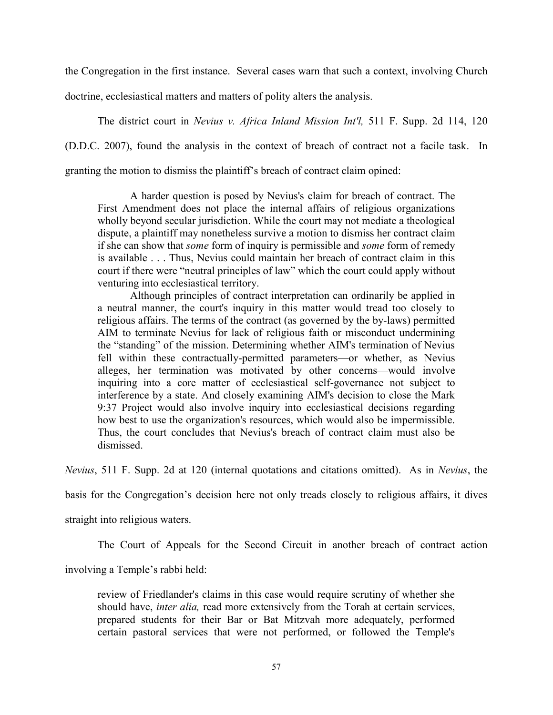the Congregation in the first instance. Several cases warn that such a context, involving Church

doctrine, ecclesiastical matters and matters of polity alters the analysis.

The district court in *Nevius v. Africa Inland Mission Int'l,* 511 F. Supp. 2d 114, 120

(D.D.C. 2007), found the analysis in the context of breach of contract not a facile task. In

granting the motion to dismiss the plaintiff's breach of contract claim opined:

A harder question is posed by Nevius's claim for breach of contract. The First Amendment does not place the internal affairs of religious organizations wholly beyond secular jurisdiction. While the court may not mediate a theological dispute, a plaintiff may nonetheless survive a motion to dismiss her contract claim if she can show that *some* form of inquiry is permissible and *some* form of remedy is available . . . Thus, Nevius could maintain her breach of contract claim in this court if there were "neutral principles of law" which the court could apply without venturing into ecclesiastical territory.

Although principles of contract interpretation can ordinarily be applied in a neutral manner, the court's inquiry in this matter would tread too closely to religious affairs. The terms of the contract (as governed by the by-laws) permitted AIM to terminate Nevius for lack of religious faith or misconduct undermining the "standing" of the mission. Determining whether AIM's termination of Nevius fell within these contractually-permitted parameters—or whether, as Nevius alleges, her termination was motivated by other concerns—would involve inquiring into a core matter of ecclesiastical self-governance not subject to interference by a state. And closely examining AIM's decision to close the Mark 9:37 Project would also involve inquiry into ecclesiastical decisions regarding how best to use the organization's resources, which would also be impermissible. Thus, the court concludes that Nevius's breach of contract claim must also be dismissed.

*Nevius*, 511 F. Supp. 2d at 120 (internal quotations and citations omitted). As in *Nevius*, the

basis for the Congregation's decision here not only treads closely to religious affairs, it dives

straight into religious waters.

The Court of Appeals for the Second Circuit in another breach of contract action

involving a Temple's rabbi held:

review of Friedlander's claims in this case would require scrutiny of whether she should have, *inter alia,* read more extensively from the Torah at certain services, prepared students for their Bar or Bat Mitzvah more adequately, performed certain pastoral services that were not performed, or followed the Temple's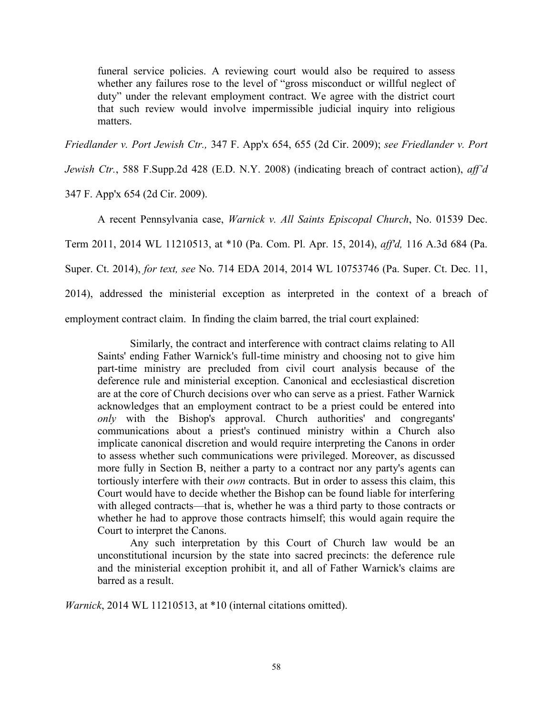funeral service policies. A reviewing court would also be required to assess whether any failures rose to the level of "gross misconduct or willful neglect of duty" under the relevant employment contract. We agree with the district court that such review would involve impermissible judicial inquiry into religious matters.

*Friedlander v. Port Jewish Ctr.,* 347 F. App'x 654, 655 (2d Cir. 2009); *see Friedlander v. Port* 

*Jewish Ctr.*, 588 F.Supp.2d 428 (E.D. N.Y. 2008) (indicating breach of contract action), *aff'd*

347 F. App'x 654 (2d Cir. 2009).

A recent Pennsylvania case, *Warnick v. All Saints Episcopal Church*, No. 01539 Dec. Term 2011, 2014 WL 11210513, at \*10 (Pa. Com. Pl. Apr. 15, 2014), *aff'd,* 116 A.3d 684 (Pa. Super. Ct. 2014), *for text, see* No. 714 EDA 2014, 2014 WL 10753746 (Pa. Super. Ct. Dec. 11, 2014), addressed the ministerial exception as interpreted in the context of a breach of employment contract claim. In finding the claim barred, the trial court explained:

Similarly, the contract and interference with contract claims relating to All Saints' ending Father Warnick's full-time ministry and choosing not to give him part-time ministry are precluded from civil court analysis because of the deference rule and ministerial exception. Canonical and ecclesiastical discretion are at the core of Church decisions over who can serve as a priest. Father Warnick acknowledges that an employment contract to be a priest could be entered into *only* with the Bishop's approval. Church authorities' and congregants' communications about a priest's continued ministry within a Church also implicate canonical discretion and would require interpreting the Canons in order to assess whether such communications were privileged. Moreover, as discussed more fully in Section B, neither a party to a contract nor any party's agents can tortiously interfere with their *own* contracts. But in order to assess this claim, this Court would have to decide whether the Bishop can be found liable for interfering with alleged contracts—that is, whether he was a third party to those contracts or whether he had to approve those contracts himself; this would again require the Court to interpret the Canons.

Any such interpretation by this Court of Church law would be an unconstitutional incursion by the state into sacred precincts: the deference rule and the ministerial exception prohibit it, and all of Father Warnick's claims are barred as a result.

*Warnick*, 2014 WL 11210513, at \*10 (internal citations omitted).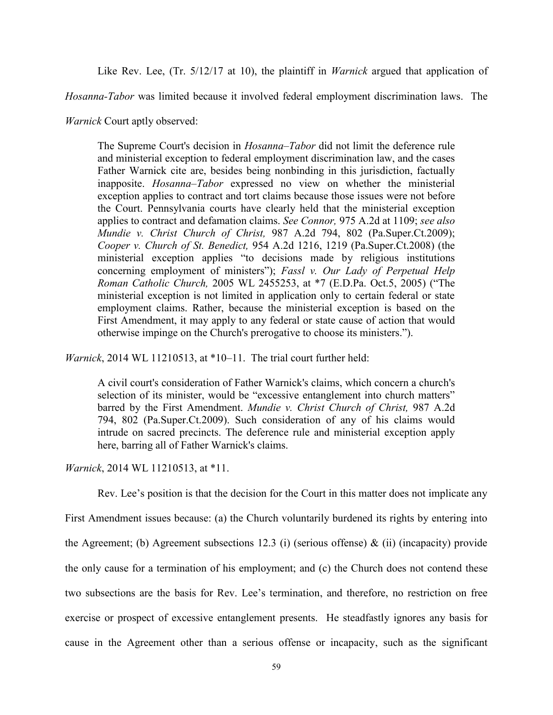Like Rev. Lee, (Tr. 5/12/17 at 10), the plaintiff in *Warnick* argued that application of

*Hosanna-Tabor* was limited because it involved federal employment discrimination laws. The

*Warnick* Court aptly observed:

The Supreme Court's decision in *Hosanna–Tabor* did not limit the deference rule and ministerial exception to federal employment discrimination law, and the cases Father Warnick cite are, besides being nonbinding in this jurisdiction, factually inapposite. *Hosanna–Tabor* expressed no view on whether the ministerial exception applies to contract and tort claims because those issues were not before the Court. Pennsylvania courts have clearly held that the ministerial exception applies to contract and defamation claims. *See Connor,* 975 A.2d at 1109; *see also Mundie v. Christ Church of Christ,* 987 A.2d 794, 802 (Pa.Super.Ct.2009); *Cooper v. Church of St. Benedict,* 954 A.2d 1216, 1219 (Pa.Super.Ct.2008) (the ministerial exception applies "to decisions made by religious institutions concerning employment of ministers"); *Fassl v. Our Lady of Perpetual Help Roman Catholic Church,* 2005 WL 2455253, at \*7 (E.D.Pa. Oct.5, 2005) ("The ministerial exception is not limited in application only to certain federal or state employment claims. Rather, because the ministerial exception is based on the First Amendment, it may apply to any federal or state cause of action that would otherwise impinge on the Church's prerogative to choose its ministers.").

*Warnick*, 2014 WL 11210513, at \*10–11. The trial court further held:

A civil court's consideration of Father Warnick's claims, which concern a church's selection of its minister, would be "excessive entanglement into church matters" barred by the First Amendment. *Mundie v. Christ Church of Christ,* 987 A.2d 794, 802 (Pa.Super.Ct.2009). Such consideration of any of his claims would intrude on sacred precincts. The deference rule and ministerial exception apply here, barring all of Father Warnick's claims.

*Warnick*, 2014 WL 11210513, at \*11.

Rev. Lee's position is that the decision for the Court in this matter does not implicate any

First Amendment issues because: (a) the Church voluntarily burdened its rights by entering into the Agreement; (b) Agreement subsections 12.3 (i) (serious offense)  $\&$  (ii) (incapacity) provide the only cause for a termination of his employment; and (c) the Church does not contend these two subsections are the basis for Rev. Lee's termination, and therefore, no restriction on free exercise or prospect of excessive entanglement presents. He steadfastly ignores any basis for cause in the Agreement other than a serious offense or incapacity, such as the significant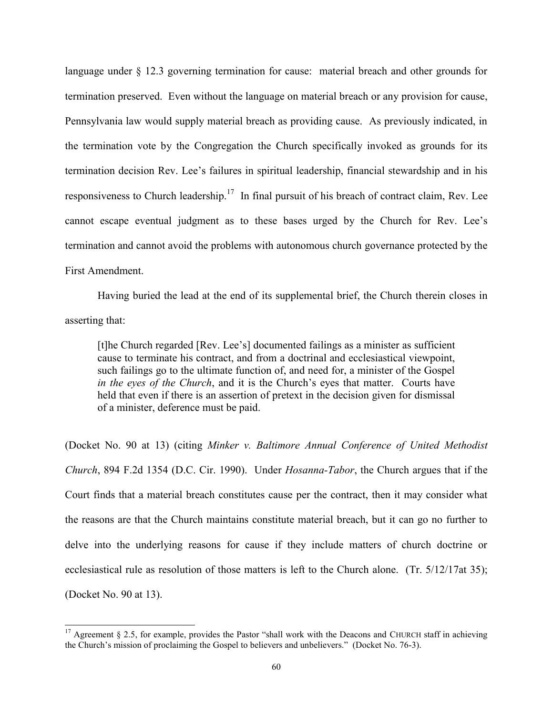language under § 12.3 governing termination for cause: material breach and other grounds for termination preserved. Even without the language on material breach or any provision for cause, Pennsylvania law would supply material breach as providing cause. As previously indicated, in the termination vote by the Congregation the Church specifically invoked as grounds for its termination decision Rev. Lee's failures in spiritual leadership, financial stewardship and in his responsiveness to Church leadership.<sup>17</sup> In final pursuit of his breach of contract claim, Rev. Lee cannot escape eventual judgment as to these bases urged by the Church for Rev. Lee's termination and cannot avoid the problems with autonomous church governance protected by the First Amendment.

Having buried the lead at the end of its supplemental brief, the Church therein closes in asserting that:

[t]he Church regarded [Rev. Lee's] documented failings as a minister as sufficient cause to terminate his contract, and from a doctrinal and ecclesiastical viewpoint, such failings go to the ultimate function of, and need for, a minister of the Gospel *in the eyes of the Church*, and it is the Church's eyes that matter. Courts have held that even if there is an assertion of pretext in the decision given for dismissal of a minister, deference must be paid.

(Docket No. 90 at 13) (citing *Minker v. Baltimore Annual Conference of United Methodist Church*, 894 F.2d 1354 (D.C. Cir. 1990). Under *Hosanna-Tabor*, the Church argues that if the Court finds that a material breach constitutes cause per the contract, then it may consider what the reasons are that the Church maintains constitute material breach, but it can go no further to delve into the underlying reasons for cause if they include matters of church doctrine or ecclesiastical rule as resolution of those matters is left to the Church alone. (Tr. 5/12/17at 35); (Docket No. 90 at 13).

 $\overline{a}$ 

<sup>&</sup>lt;sup>17</sup> Agreement § 2.5, for example, provides the Pastor "shall work with the Deacons and CHURCH staff in achieving the Church's mission of proclaiming the Gospel to believers and unbelievers." (Docket No. 76-3).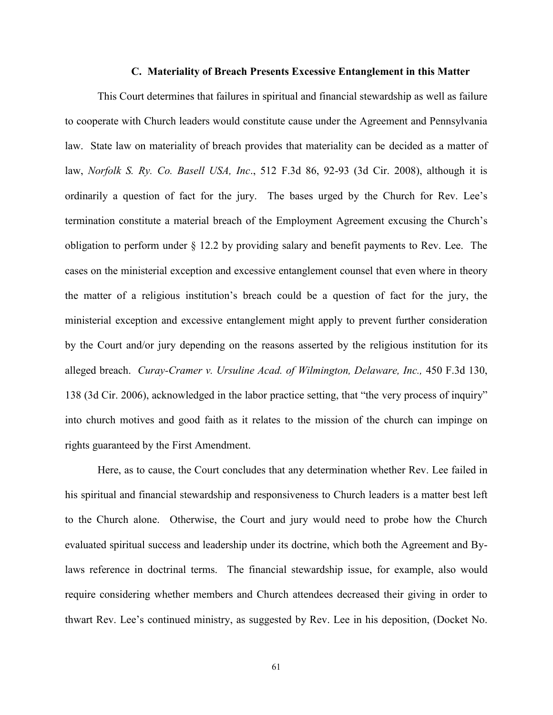#### **C. Materiality of Breach Presents Excessive Entanglement in this Matter**

This Court determines that failures in spiritual and financial stewardship as well as failure to cooperate with Church leaders would constitute cause under the Agreement and Pennsylvania law. State law on materiality of breach provides that materiality can be decided as a matter of law, *Norfolk S. Ry. Co. Basell USA, Inc*., 512 F.3d 86, 92-93 (3d Cir. 2008), although it is ordinarily a question of fact for the jury. The bases urged by the Church for Rev. Lee's termination constitute a material breach of the Employment Agreement excusing the Church's obligation to perform under § 12.2 by providing salary and benefit payments to Rev. Lee. The cases on the ministerial exception and excessive entanglement counsel that even where in theory the matter of a religious institution's breach could be a question of fact for the jury, the ministerial exception and excessive entanglement might apply to prevent further consideration by the Court and/or jury depending on the reasons asserted by the religious institution for its alleged breach. *Curay-Cramer v. Ursuline Acad. of Wilmington, Delaware, Inc.,* 450 F.3d 130, 138 (3d Cir. 2006), acknowledged in the labor practice setting, that "the very process of inquiry" into church motives and good faith as it relates to the mission of the church can impinge on rights guaranteed by the First Amendment.

Here, as to cause, the Court concludes that any determination whether Rev. Lee failed in his spiritual and financial stewardship and responsiveness to Church leaders is a matter best left to the Church alone. Otherwise, the Court and jury would need to probe how the Church evaluated spiritual success and leadership under its doctrine, which both the Agreement and Bylaws reference in doctrinal terms. The financial stewardship issue, for example, also would require considering whether members and Church attendees decreased their giving in order to thwart Rev. Lee's continued ministry, as suggested by Rev. Lee in his deposition, (Docket No.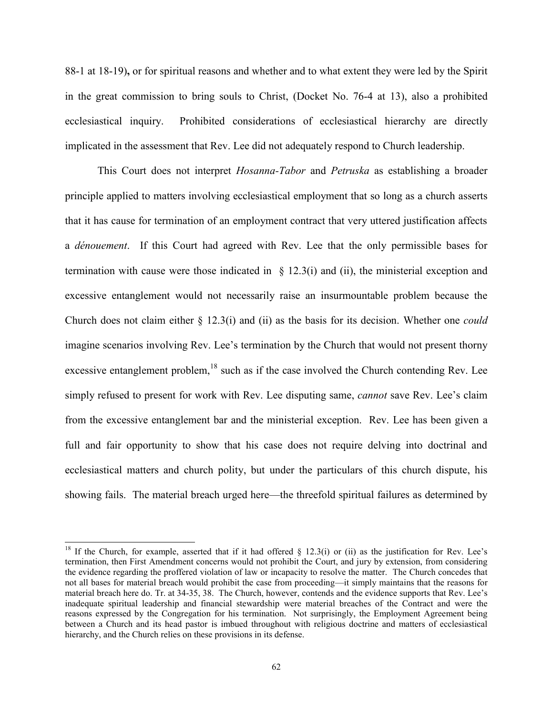88-1 at 18-19)**,** or for spiritual reasons and whether and to what extent they were led by the Spirit in the great commission to bring souls to Christ, (Docket No. 76-4 at 13), also a prohibited ecclesiastical inquiry. Prohibited considerations of ecclesiastical hierarchy are directly implicated in the assessment that Rev. Lee did not adequately respond to Church leadership.

This Court does not interpret *Hosanna-Tabor* and *Petruska* as establishing a broader principle applied to matters involving ecclesiastical employment that so long as a church asserts that it has cause for termination of an employment contract that very uttered justification affects a *dénouement*. If this Court had agreed with Rev. Lee that the only permissible bases for termination with cause were those indicated in  $\S$  12.3(i) and (ii), the ministerial exception and excessive entanglement would not necessarily raise an insurmountable problem because the Church does not claim either § 12.3(i) and (ii) as the basis for its decision. Whether one *could* imagine scenarios involving Rev. Lee's termination by the Church that would not present thorny excessive entanglement problem, $^{18}$  such as if the case involved the Church contending Rev. Lee simply refused to present for work with Rev. Lee disputing same, *cannot* save Rev. Lee's claim from the excessive entanglement bar and the ministerial exception. Rev. Lee has been given a full and fair opportunity to show that his case does not require delving into doctrinal and ecclesiastical matters and church polity, but under the particulars of this church dispute, his showing fails. The material breach urged here—the threefold spiritual failures as determined by

 $\overline{\phantom{a}}$ 

<sup>&</sup>lt;sup>18</sup> If the Church, for example, asserted that if it had offered  $\S$  12.3(i) or (ii) as the justification for Rev. Lee's termination, then First Amendment concerns would not prohibit the Court, and jury by extension, from considering the evidence regarding the proffered violation of law or incapacity to resolve the matter. The Church concedes that not all bases for material breach would prohibit the case from proceeding—it simply maintains that the reasons for material breach here do. Tr. at 34-35, 38.The Church, however, contends and the evidence supports that Rev. Lee's inadequate spiritual leadership and financial stewardship were material breaches of the Contract and were the reasons expressed by the Congregation for his termination. Not surprisingly, the Employment Agreement being between a Church and its head pastor is imbued throughout with religious doctrine and matters of ecclesiastical hierarchy, and the Church relies on these provisions in its defense.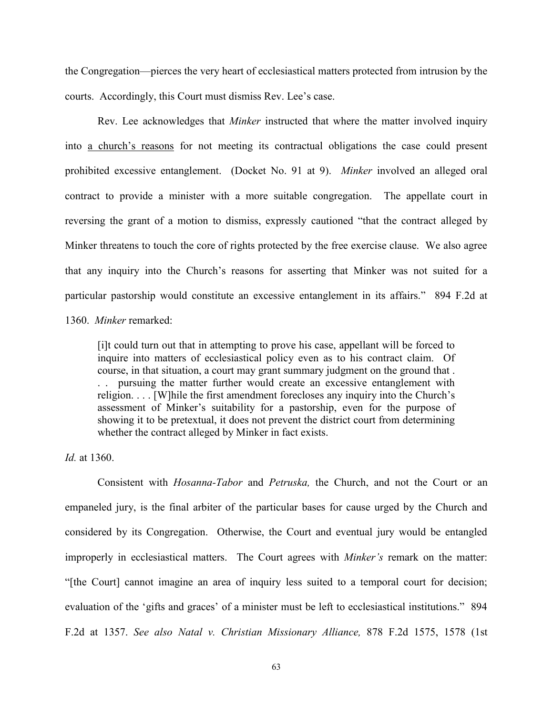the Congregation—pierces the very heart of ecclesiastical matters protected from intrusion by the courts. Accordingly, this Court must dismiss Rev. Lee's case.

Rev. Lee acknowledges that *Minker* instructed that where the matter involved inquiry into a church's reasons for not meeting its contractual obligations the case could present prohibited excessive entanglement. (Docket No. 91 at 9). *Minker* involved an alleged oral contract to provide a minister with a more suitable congregation. The appellate court in reversing the grant of a motion to dismiss, expressly cautioned "that the contract alleged by Minker threatens to touch the core of rights protected by the free exercise clause. We also agree that any inquiry into the Church's reasons for asserting that Minker was not suited for a particular pastorship would constitute an excessive entanglement in its affairs." 894 F.2d at 1360. *Minker* remarked:

[i]t could turn out that in attempting to prove his case, appellant will be forced to inquire into matters of ecclesiastical policy even as to his contract claim. Of course, in that situation, a court may grant summary judgment on the ground that . . . pursuing the matter further would create an excessive entanglement with religion. . . . [W]hile the first amendment forecloses any inquiry into the Church's assessment of Minker's suitability for a pastorship, even for the purpose of showing it to be pretextual, it does not prevent the district court from determining whether the contract alleged by Minker in fact exists.

#### *Id.* at 1360.

Consistent with *Hosanna-Tabor* and *Petruska,* the Church, and not the Court or an empaneled jury, is the final arbiter of the particular bases for cause urged by the Church and considered by its Congregation. Otherwise, the Court and eventual jury would be entangled improperly in ecclesiastical matters. The Court agrees with *Minker's* remark on the matter: "[the Court] cannot imagine an area of inquiry less suited to a temporal court for decision; evaluation of the 'gifts and graces' of a minister must be left to ecclesiastical institutions." 894 F.2d at 1357. *See also Natal v. Christian Missionary Alliance,* 878 F.2d 1575, 1578 (1st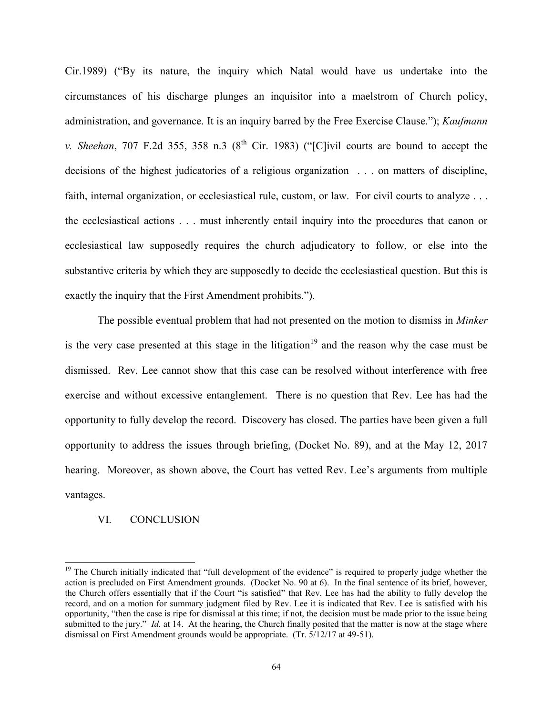Cir.1989) ("By its nature, the inquiry which Natal would have us undertake into the circumstances of his discharge plunges an inquisitor into a maelstrom of Church policy, administration, and governance. It is an inquiry barred by the Free Exercise Clause."); *Kaufmann v. Sheehan*, 707 F.2d 355, 358 n.3 ( $8<sup>th</sup>$  Cir. 1983) ("[C]ivil courts are bound to accept the decisions of the highest judicatories of a religious organization . . . on matters of discipline, faith, internal organization, or ecclesiastical rule, custom, or law. For civil courts to analyze ... the ecclesiastical actions . . . must inherently entail inquiry into the procedures that canon or ecclesiastical law supposedly requires the church adjudicatory to follow, or else into the substantive criteria by which they are supposedly to decide the ecclesiastical question. But this is exactly the inquiry that the First Amendment prohibits.").

The possible eventual problem that had not presented on the motion to dismiss in *Minker*  is the very case presented at this stage in the litigation<sup>19</sup> and the reason why the case must be dismissed. Rev. Lee cannot show that this case can be resolved without interference with free exercise and without excessive entanglement. There is no question that Rev. Lee has had the opportunity to fully develop the record. Discovery has closed. The parties have been given a full opportunity to address the issues through briefing, (Docket No. 89), and at the May 12, 2017 hearing. Moreover, as shown above, the Court has vetted Rev. Lee's arguments from multiple vantages.

#### VI. CONCLUSION

 $\overline{a}$ 

<sup>&</sup>lt;sup>19</sup> The Church initially indicated that "full development of the evidence" is required to properly judge whether the action is precluded on First Amendment grounds. (Docket No. 90 at 6). In the final sentence of its brief, however, the Church offers essentially that if the Court "is satisfied" that Rev. Lee has had the ability to fully develop the record, and on a motion for summary judgment filed by Rev. Lee it is indicated that Rev. Lee is satisfied with his opportunity, "then the case is ripe for dismissal at this time; if not, the decision must be made prior to the issue being submitted to the jury." *Id.* at 14. At the hearing, the Church finally posited that the matter is now at the stage where dismissal on First Amendment grounds would be appropriate.(Tr. 5/12/17 at 49-51).